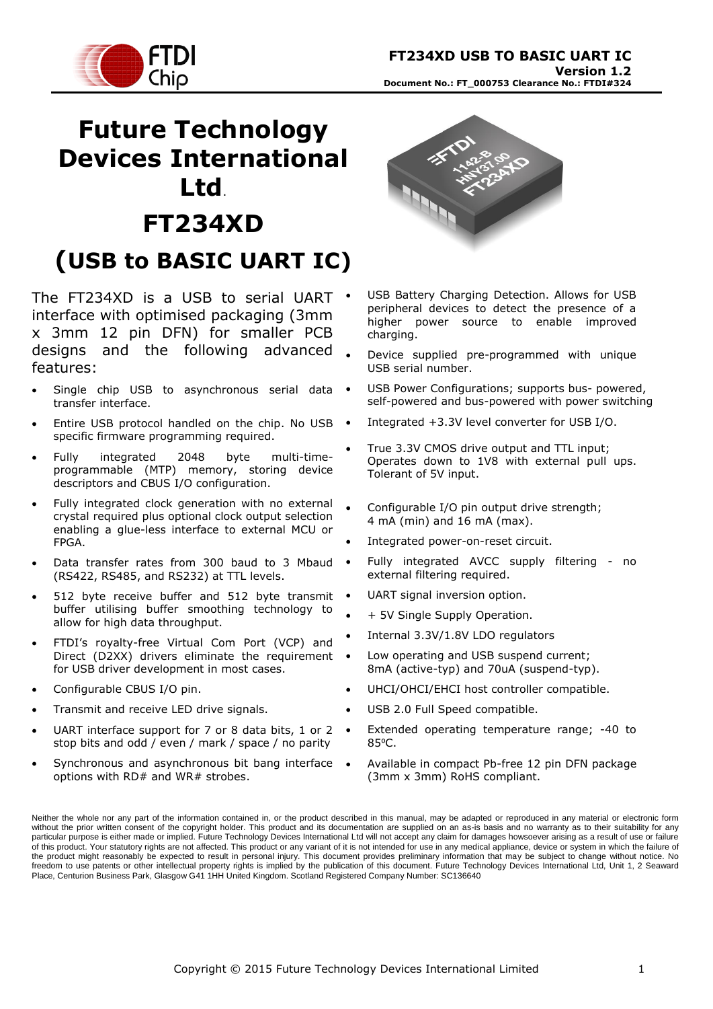

# **Future Technology Devices International Ltd**. **FT234XD (USB to BASIC UART IC)**

The FT234XD is a USB to serial UART . interface with optimised packaging (3mm x 3mm 12 pin DFN) for smaller PCB designs and the following advanced features:

- Single chip USB to asynchronous serial data transfer interface.
- Entire USB protocol handled on the chip. No USB . specific firmware programming required.
- Fully integrated 2048 byte multi-timeprogrammable (MTP) memory, storing device descriptors and CBUS I/O configuration.
- Fully integrated clock generation with no external crystal required plus optional clock output selection enabling a glue-less interface to external MCU or FPGA.
- Data transfer rates from 300 baud to 3 Mbaud (RS422, RS485, and RS232) at TTL levels.
- 512 byte receive buffer and 512 byte transmit buffer utilising buffer smoothing technology to allow for high data throughput.
- FTDI's royalty-free Virtual Com Port (VCP) and Direct (D2XX) drivers eliminate the requirement for USB driver development in most cases.
- Configurable CBUS I/O pin.
- Transmit and receive LED drive signals.
- UART interface support for 7 or 8 data bits, 1 or 2 stop bits and odd / even / mark / space / no parity
- Synchronous and asynchronous bit bang interface options with RD# and WR# strobes.



- USB Battery Charging Detection. Allows for USB peripheral devices to detect the presence of a higher power source to enable improved charging.
- Device supplied pre-programmed with unique USB serial number.
- USB Power Configurations; supports bus- powered, self-powered and bus-powered with power switching
- Integrated +3.3V level converter for USB I/O.
- True 3.3V CMOS drive output and TTL input; Operates down to 1V8 with external pull ups. Tolerant of 5V input.
- Configurable I/O pin output drive strength; 4 mA (min) and 16 mA (max).
- Integrated power-on-reset circuit.
- Fully integrated AVCC supply filtering no external filtering required.
- UART signal inversion option.
- + 5V Single Supply Operation.
- Internal 3.3V/1.8V LDO regulators
- Low operating and USB suspend current; 8mA (active-typ) and 70uA (suspend-typ).
- UHCI/OHCI/EHCI host controller compatible.
- USB 2.0 Full Speed compatible.
- Extended operating temperature range; -40 to 85⁰C.
- Available in compact Pb-free 12 pin DFN package (3mm x 3mm) RoHS compliant.

Neither the whole nor any part of the information contained in, or the product described in this manual, may be adapted or reproduced in any material or electronic form without the prior written consent of the copyright holder. This product and its documentation are supplied on an as-is basis and no warranty as to their suitability for any particular purpose is either made or implied. Future Technology Devices International Ltd will not accept any claim for damages howsoever arising as a result of use or failure of this product. Your statutory rights are not affected. This product or any variant of it is not intended for use in any medical appliance, device or system in which the failure of the product might reasonably be expected to result in personal injury. This document provides preliminary information that may be subject to change without notice. No freedom to use patents or other intellectual property rights is implied by the publication of this document. Future Technology Devices International Ltd, Unit 1, 2 Seaward Place, Centurion Business Park, Glasgow G41 1HH United Kingdom. Scotland Registered Company Number: SC136640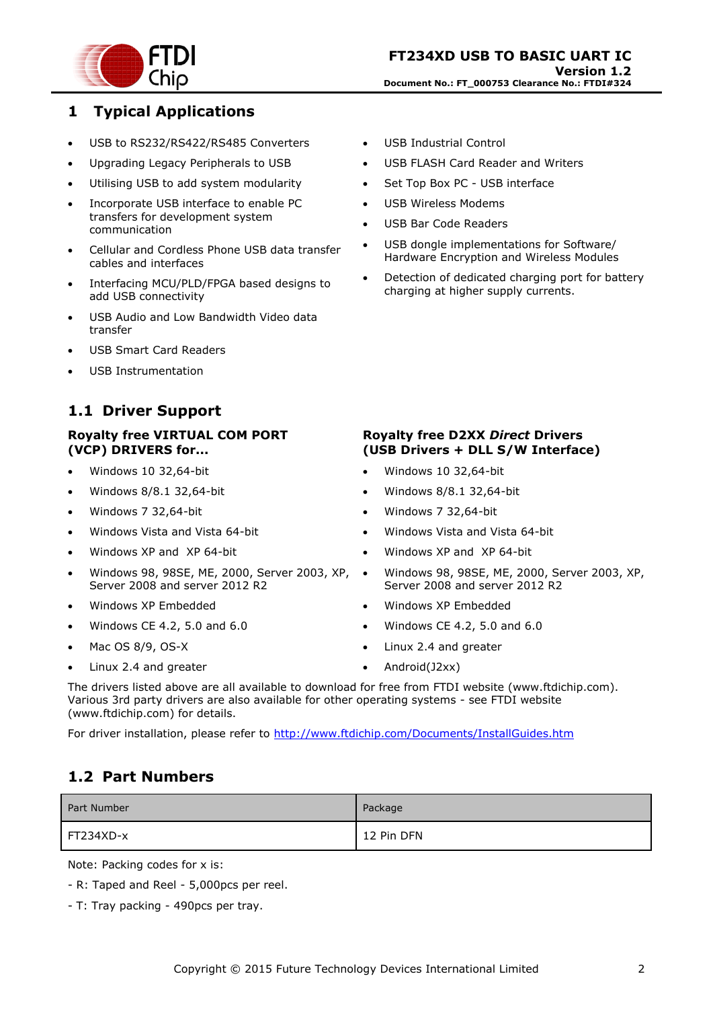

### <span id="page-1-0"></span>**1 Typical Applications**

- USB to RS232/RS422/RS485 Converters
- Upgrading Legacy Peripherals to USB
- Utilising USB to add system modularity
- Incorporate USB interface to enable PC transfers for development system communication
- Cellular and Cordless Phone USB data transfer cables and interfaces
- Interfacing MCU/PLD/FPGA based designs to add USB connectivity
- USB Audio and Low Bandwidth Video data transfer
- USB Smart Card Readers
- USB Instrumentation

# <span id="page-1-1"></span>**1.1 Driver Support**

#### **Royalty free VIRTUAL COM PORT (VCP) DRIVERS for...**

- Windows 10 32,64-bit
- Windows 8/8.1 32,64-bit
- Windows 7 32,64-bit
- Windows Vista and Vista 64-bit
- Windows XP and XP 64-bit
- Windows 98, 98SE, ME, 2000, Server 2003, XP, Server 2008 and server 2012 R2
- Windows XP Embedded
- Windows CE 4.2, 5.0 and 6.0
- Mac OS 8/9, OS-X
- Linux 2.4 and greater
- USB Industrial Control
- USB FLASH Card Reader and Writers
- Set Top Box PC USB interface
- USB Wireless Modems
- USB Bar Code Readers
- USB dongle implementations for Software/ Hardware Encryption and Wireless Modules
- Detection of dedicated charging port for battery charging at higher supply currents.

#### **Royalty free D2XX** *Direct* **Drivers (USB Drivers + DLL S/W Interface)**

- Windows 10 32,64-bit
- Windows 8/8.1 32,64-bit
- Windows 7 32,64-bit
- Windows Vista and Vista 64-bit
- Windows XP and XP 64-bit
- Windows 98, 98SE, ME, 2000, Server 2003, XP, Server 2008 and server 2012 R2
- Windows XP Embedded
- Windows CE 4.2, 5.0 and 6.0
- Linux 2.4 and greater
- Android(J2xx)

The drivers listed above are all available to download for free from [FTDI website](http://www.ftdichip.com/) [\(www.ftdichip.com\)](file://///glaspssv1/General/Engineering/Engineering%20_Documents/DS_FT232R/DS_FT232R_V200/www.ftdichip.com). Various 3rd party drivers are also available for other operating systems - see [FTDI website](http://www.ftdichip.com/) [\(www.ftdichip.com\)](http://www.ftdichip.com/) for details.

For driver installation, please refer to <http://www.ftdichip.com/Documents/InstallGuides.htm>

### <span id="page-1-2"></span>**1.2 Part Numbers**

| Part Number | Package    |
|-------------|------------|
| FT234XD-x   | 12 Pin DFN |

Note: Packing codes for x is:

- R: Taped and Reel 5,000pcs per reel.
- T: Tray packing 490pcs per tray.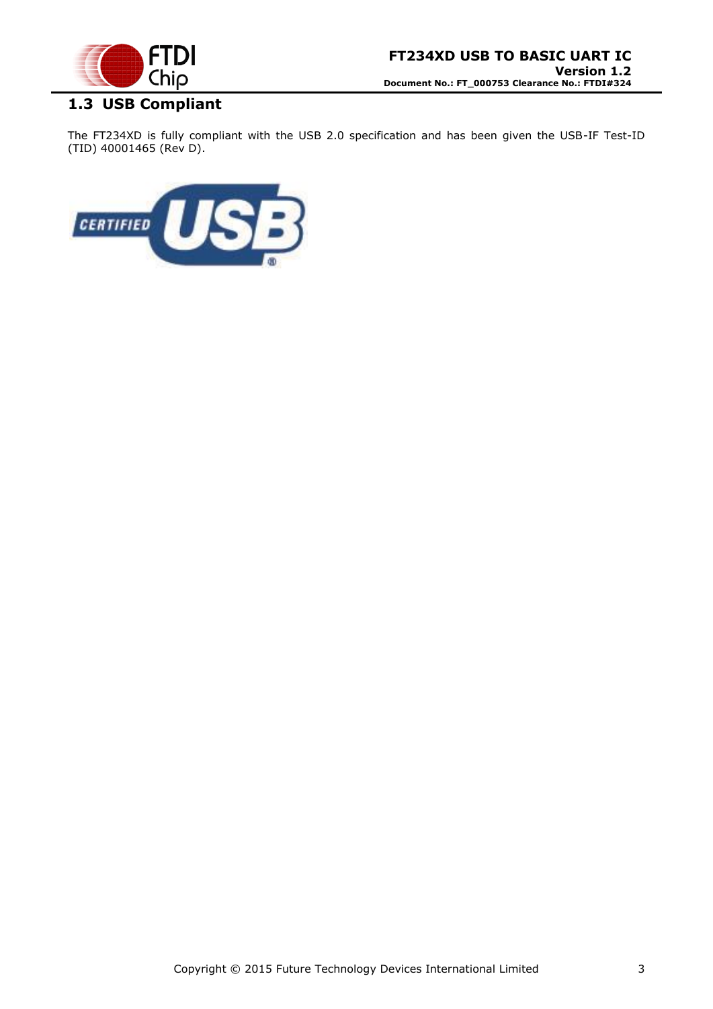

# <span id="page-2-0"></span>**1.3 USB Compliant**

The FT234XD is fully compliant with the USB 2.0 specification and has been given the USB-IF Test-ID (TID) 40001465 (Rev D).

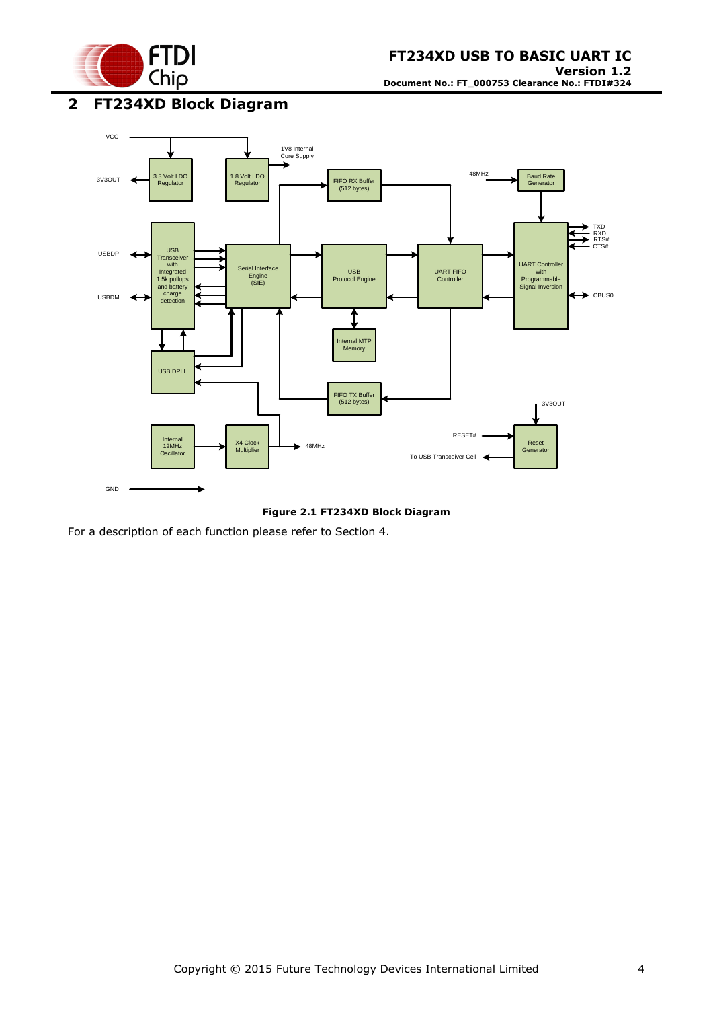

# <span id="page-3-0"></span>**2 FT234XD Block Diagram**



**Figure 2.1 FT234XD Block Diagram**

<span id="page-3-1"></span>For a description of each function please refer to Section 4.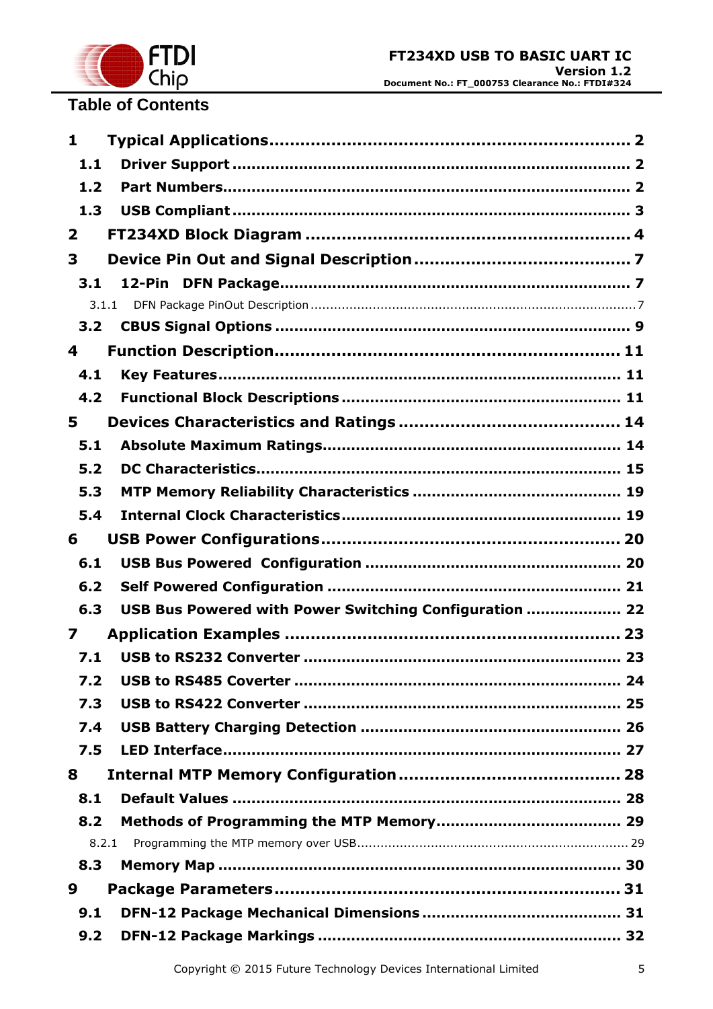

# **Table of Contents**

| $\mathbf{1}$   |                                                        |  |
|----------------|--------------------------------------------------------|--|
| 1.1            |                                                        |  |
| 1.2            |                                                        |  |
| 1.3            |                                                        |  |
| $\overline{2}$ |                                                        |  |
| 3              |                                                        |  |
| 3.1            |                                                        |  |
|                | 3.1.1                                                  |  |
| 3.2            |                                                        |  |
| 4              |                                                        |  |
| 4.1            |                                                        |  |
| 4.2            |                                                        |  |
| 5              |                                                        |  |
| 5.1            |                                                        |  |
| 5.2            |                                                        |  |
| 5.3            |                                                        |  |
| 5.4            |                                                        |  |
| 6              |                                                        |  |
| 6.1            |                                                        |  |
| 6.2            |                                                        |  |
| 6.3            | USB Bus Powered with Power Switching Configuration  22 |  |
| $\mathbf{z}$   |                                                        |  |
| 7.1            |                                                        |  |
| 7.2            |                                                        |  |
| 7.3            |                                                        |  |
| 7.4            |                                                        |  |
| 7.5            |                                                        |  |
| 8              |                                                        |  |
| 8.1            |                                                        |  |
| 8.2            |                                                        |  |
|                | 8.2.1                                                  |  |
| 8.3            |                                                        |  |
| 9              |                                                        |  |
| 9.1            |                                                        |  |
| 9.2            |                                                        |  |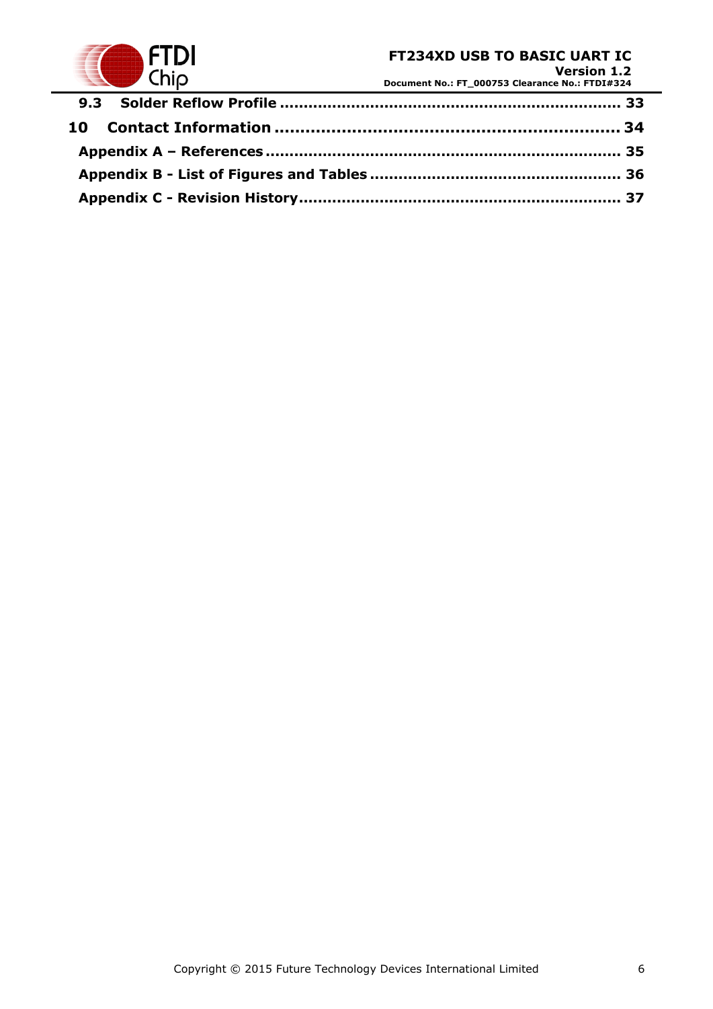

**Version 1.2 Document No.: FT\_000753 Clearance No.: FTDI#324**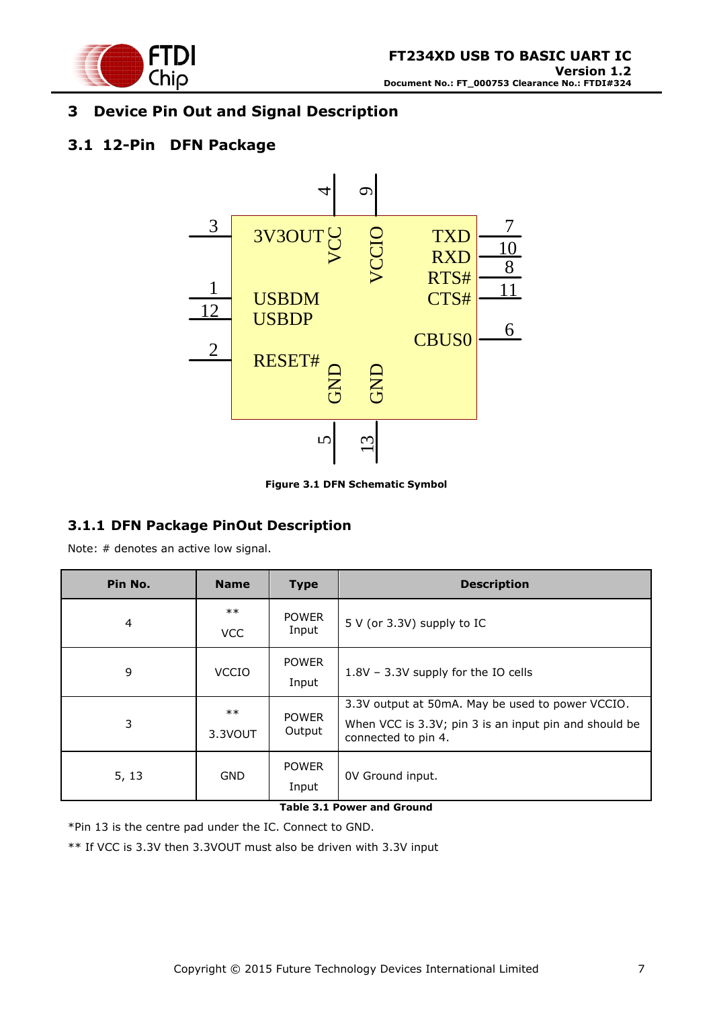

# <span id="page-6-0"></span>**3 Device Pin Out and Signal Description**

# <span id="page-6-1"></span>**3.1 12-Pin DFN Package**



**Figure 3.1 DFN Schematic Symbol**

### <span id="page-6-3"></span><span id="page-6-2"></span>**3.1.1 DFN Package PinOut Description**

Note: # denotes an active low signal.

| Pin No. | <b>Name</b>         | <b>Type</b>            | <b>Description</b>                                                                                                               |  |  |
|---------|---------------------|------------------------|----------------------------------------------------------------------------------------------------------------------------------|--|--|
| 4       | $***$<br><b>VCC</b> | <b>POWER</b><br>Input  | 5 V (or 3.3V) supply to IC                                                                                                       |  |  |
| 9       | <b>VCCIO</b>        | <b>POWER</b><br>Input  | 1.8V - 3.3V supply for the IO cells                                                                                              |  |  |
| 3       | $***$<br>3.3VOUT    | <b>POWER</b><br>Output | 3.3V output at 50mA. May be used to power VCCIO.<br>When VCC is 3.3V; pin 3 is an input pin and should be<br>connected to pin 4. |  |  |
| 5, 13   | <b>GND</b>          | <b>POWER</b><br>Input  | OV Ground input.                                                                                                                 |  |  |

#### **Table 3.1 Power and Ground**

<span id="page-6-4"></span>\*Pin 13 is the centre pad under the IC. Connect to GND.

\*\* If VCC is 3.3V then 3.3VOUT must also be driven with 3.3V input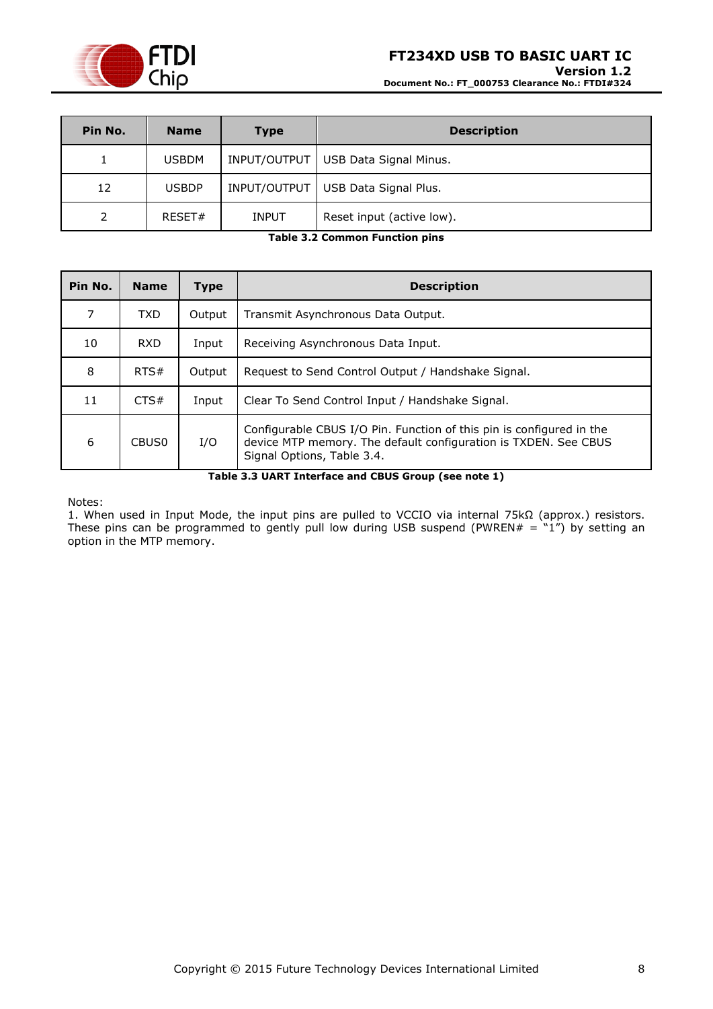

# **FT234XD USB TO BASIC UART IC Version 1.2**

**Document No.: FT\_000753 Clearance No.: FTDI#324**

| Pin No. | <b>Name</b>  | <b>Type</b>  | <b>Description</b>                   |
|---------|--------------|--------------|--------------------------------------|
|         | <b>USBDM</b> | INPUT/OUTPUT | USB Data Signal Minus.               |
| 12      | <b>USBDP</b> |              | INPUT/OUTPUT   USB Data Signal Plus. |
| っ       | RESET#       | <b>INPUT</b> | Reset input (active low).            |

**Table 3.2 Common Function pins**

<span id="page-7-1"></span>

| Pin No. | <b>Name</b>       | <b>Type</b> | <b>Description</b>                                                                                                                                                    |
|---------|-------------------|-------------|-----------------------------------------------------------------------------------------------------------------------------------------------------------------------|
| 7       | <b>TXD</b>        | Output      | Transmit Asynchronous Data Output.                                                                                                                                    |
| 10      | RXD               | Input       | Receiving Asynchronous Data Input.                                                                                                                                    |
| 8       | RTS#              | Output      | Request to Send Control Output / Handshake Signal.                                                                                                                    |
| 11      | CTS#              | Input       | Clear To Send Control Input / Handshake Signal.                                                                                                                       |
| 6       | CBUS <sub>0</sub> | I/O         | Configurable CBUS I/O Pin. Function of this pin is configured in the<br>device MTP memory. The default configuration is TXDEN. See CBUS<br>Signal Options, Table 3.4. |

**Table 3.3 UART Interface and CBUS Group (see note 1)**

<span id="page-7-2"></span>Notes:

<span id="page-7-0"></span>1. When used in Input Mode, the input pins are pulled to VCCIO via internal 75kΩ (approx.) resistors. These pins can be programmed to gently pull low during USB suspend (PWREN $# = "1")$  by setting an option in the MTP memory.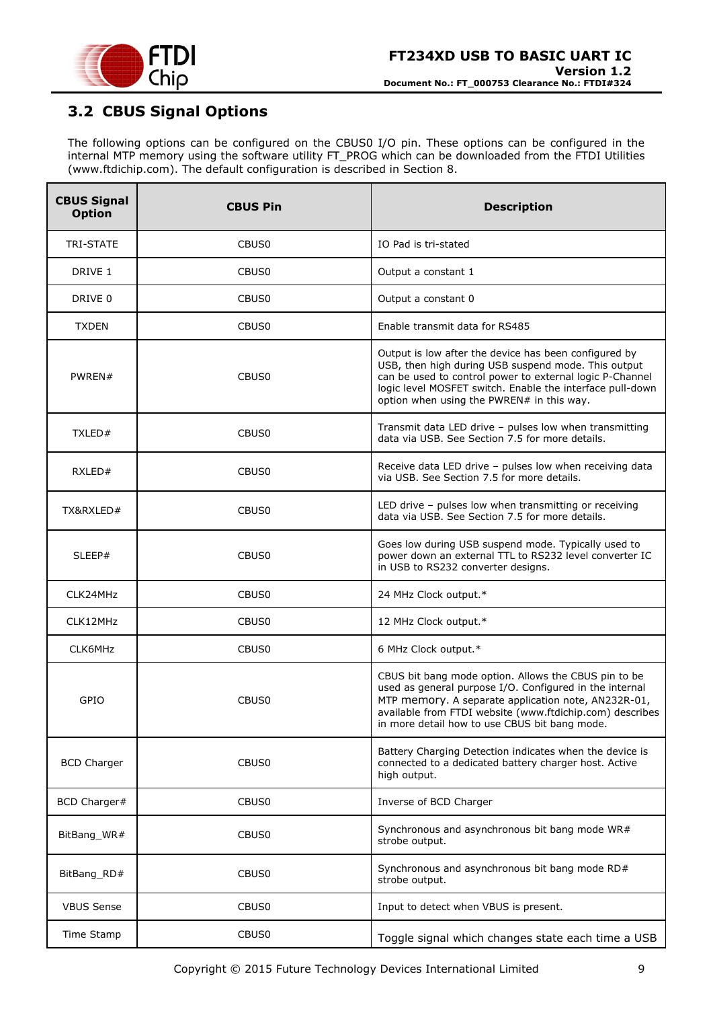

# <span id="page-8-0"></span>**3.2 CBUS Signal Options**

The following options can be configured on the CBUS0 I/O pin. These options can be configured in the internal MTP memory using the software utility FT\_PROG which can be downloaded from the [FTDI Utilities](http://www.ftdichip.com/Resources/Utilities.htm) [\(www.ftdichip.com\)](http://www.ftdichip.com/). The default configuration is described in Section [8.](#page-27-0)

| <b>CBUS Signal</b><br><b>Option</b> | <b>CBUS Pin</b>   | <b>Description</b>                                                                                                                                                                                                                                                                  |  |  |
|-------------------------------------|-------------------|-------------------------------------------------------------------------------------------------------------------------------------------------------------------------------------------------------------------------------------------------------------------------------------|--|--|
| TRI-STATE                           | CBUS <sub>0</sub> | IO Pad is tri-stated                                                                                                                                                                                                                                                                |  |  |
| DRIVE 1                             | CBUS0             | Output a constant 1                                                                                                                                                                                                                                                                 |  |  |
| DRIVE 0                             | CBUS0             | Output a constant 0                                                                                                                                                                                                                                                                 |  |  |
| <b>TXDEN</b>                        | CBUS <sub>0</sub> | Enable transmit data for RS485                                                                                                                                                                                                                                                      |  |  |
| PWREN#                              | CBUS <sub>0</sub> | Output is low after the device has been configured by<br>USB, then high during USB suspend mode. This output<br>can be used to control power to external logic P-Channel<br>logic level MOSFET switch. Enable the interface pull-down<br>option when using the PWREN# in this way.  |  |  |
| TXLED#                              | CBUS0             | Transmit data LED drive - pulses low when transmitting<br>data via USB. See Section 7.5 for more details.                                                                                                                                                                           |  |  |
| RXLED#                              | CBUS <sub>0</sub> | Receive data LED drive - pulses low when receiving data<br>via USB. See Section 7.5 for more details.                                                                                                                                                                               |  |  |
| TX&RXLED#                           | CBUS <sub>0</sub> | LED drive - pulses low when transmitting or receiving<br>data via USB. See Section 7.5 for more details.                                                                                                                                                                            |  |  |
| SLEEP#                              | CBUS <sub>0</sub> | Goes low during USB suspend mode. Typically used to<br>power down an external TTL to RS232 level converter IC<br>in USB to RS232 converter designs.                                                                                                                                 |  |  |
| CLK24MHz                            | CBUS <sub>0</sub> | 24 MHz Clock output.*                                                                                                                                                                                                                                                               |  |  |
| CLK12MHz                            | CBUS0             | 12 MHz Clock output.*                                                                                                                                                                                                                                                               |  |  |
| CLK6MHz                             | CBUS0             | 6 MHz Clock output.*                                                                                                                                                                                                                                                                |  |  |
| GPIO                                | CBUS0             | CBUS bit bang mode option. Allows the CBUS pin to be<br>used as general purpose I/O. Configured in the internal<br>MTP memory. A separate application note, AN232R-01,<br>available from FTDI website (www.ftdichip.com) describes<br>in more detail how to use CBUS bit bang mode. |  |  |
| <b>BCD Charger</b>                  | CBUS <sub>0</sub> | Battery Charging Detection indicates when the device is<br>connected to a dedicated battery charger host. Active<br>high output.                                                                                                                                                    |  |  |
| BCD Charger#                        | CBUS <sub>0</sub> | Inverse of BCD Charger                                                                                                                                                                                                                                                              |  |  |
| BitBang_WR#                         | CBUS <sub>0</sub> | Synchronous and asynchronous bit bang mode WR#<br>strobe output.                                                                                                                                                                                                                    |  |  |
| BitBang RD#                         | CBUS <sub>0</sub> | Synchronous and asynchronous bit bang mode RD#<br>strobe output.                                                                                                                                                                                                                    |  |  |
| <b>VBUS Sense</b>                   | CBUS0             | Input to detect when VBUS is present.                                                                                                                                                                                                                                               |  |  |
| Time Stamp                          | CBUS0             | Toggle signal which changes state each time a USB                                                                                                                                                                                                                                   |  |  |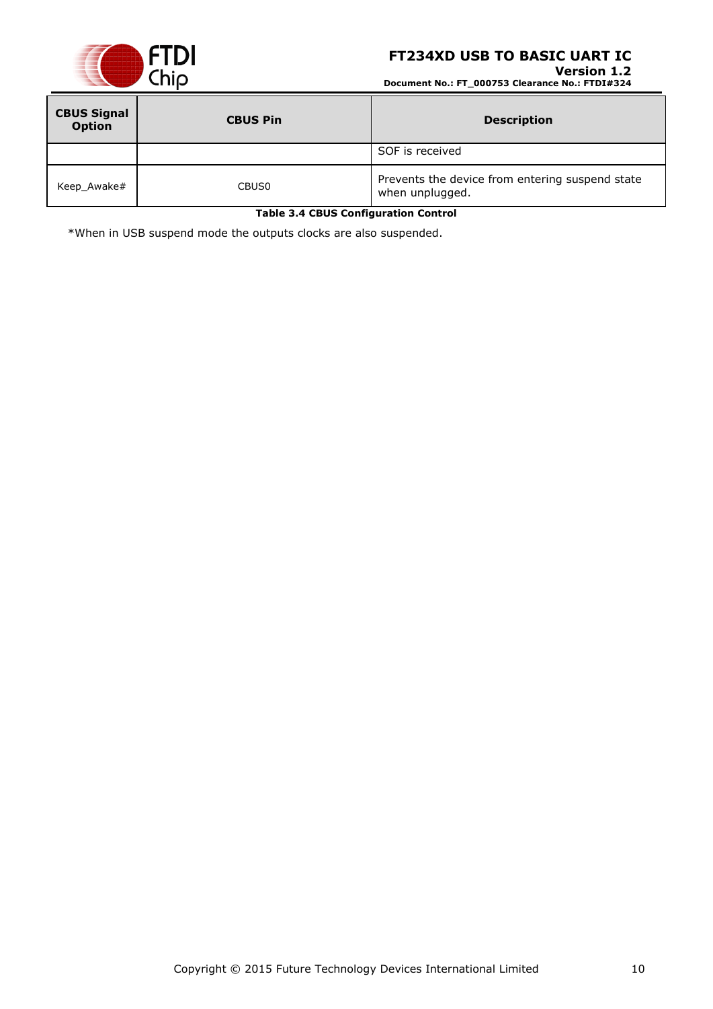

**Version 1.2 Document No.: FT\_000753 Clearance No.: FTDI#324**

| <b>CBUS Signal</b><br><b>Option</b> | <b>CBUS Pin</b>   | <b>Description</b>                                                 |
|-------------------------------------|-------------------|--------------------------------------------------------------------|
|                                     |                   | SOF is received                                                    |
| Keep_Awake#                         | CBUS <sub>0</sub> | Prevents the device from entering suspend state<br>when unplugged. |

**Table 3.4 CBUS Configuration Control**

<span id="page-9-0"></span>\*When in USB suspend mode the outputs clocks are also suspended.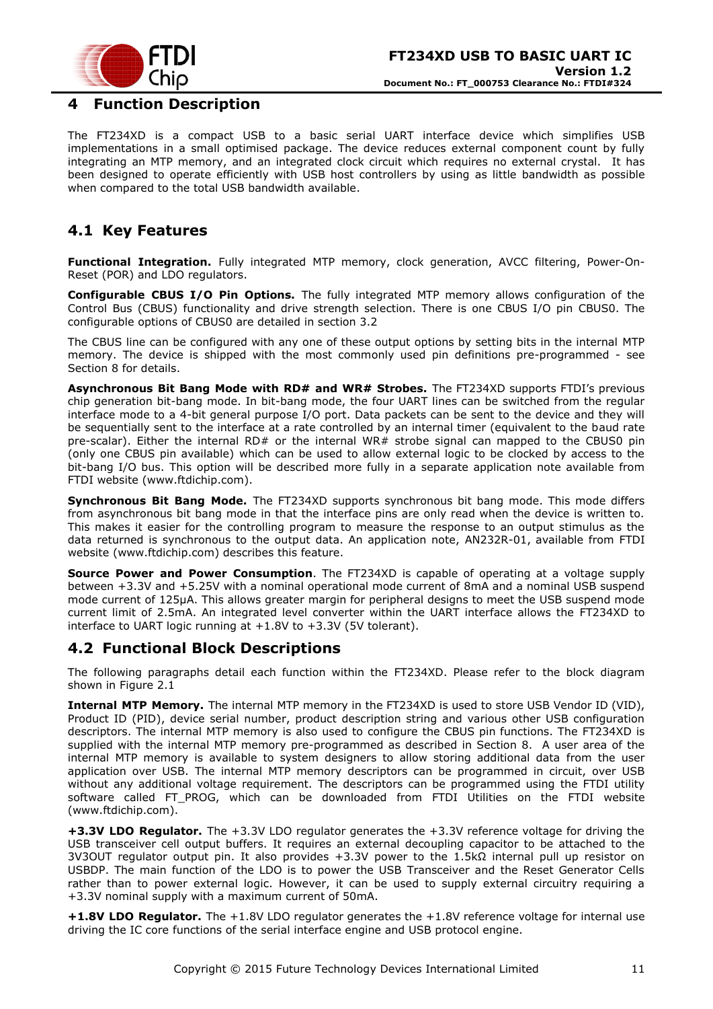

### <span id="page-10-0"></span>**4 Function Description**

The FT234XD is a compact USB to a basic serial UART interface device which simplifies USB implementations in a small optimised package. The device reduces external component count by fully integrating an MTP memory, and an integrated clock circuit which requires no external crystal. It has been designed to operate efficiently with USB host controllers by using as little bandwidth as possible when compared to the total USB bandwidth available.

# <span id="page-10-1"></span>**4.1 Key Features**

**Functional Integration.** Fully integrated MTP memory, clock generation, AVCC filtering, Power-On-Reset (POR) and LDO regulators.

**Configurable CBUS I/O Pin Options.** The fully integrated MTP memory allows configuration of the Control Bus (CBUS) functionality and drive strength selection. There is one CBUS I/O pin CBUS0. The configurable options of CBUS0 are detailed in section 3.2

The CBUS line can be configured with any one of these output options by setting bits in the internal MTP memory. The device is shipped with the most commonly used pin definitions pre-programmed - see Section [8](#page-27-0) for details.

**Asynchronous Bit Bang Mode with RD# and WR# Strobes.** The FT234XD supports FTDI's previous chip generation bit-bang mode. In bit-bang mode, the four UART lines can be switched from the regular interface mode to a 4-bit general purpose I/O port. Data packets can be sent to the device and they will be sequentially sent to the interface at a rate controlled by an internal timer (equivalent to the baud rate pre-scalar). Either the internal  $RD#$  or the internal WR# strobe signal can mapped to the CBUS0 pin (only one CBUS pin available) which can be used to allow external logic to be clocked by access to the bit-bang I/O bus. This option will be described more fully in a separate application note available from [FTDI website](http://www.ftdichip.com/) [\(www.ftdichip.com\)](http://www.ftdichip.com/).

**Synchronous Bit Bang Mode.** The FT234XD supports synchronous bit bang mode. This mode differs from asynchronous bit bang mode in that the interface pins are only read when the device is written to. This makes it easier for the controlling program to measure the response to an output stimulus as the data returned is synchronous to the output data. An application note, [AN232R-01,](http://ftdichip.com/Documents/AppNotes/AN232R-01_FT232RBitBangModes.pdf) available from [FTDI](http://www.ftdichip.com/)  [website](http://www.ftdichip.com/) [\(www.ftdichip.com\)](http://www.ftdichip.com/) describes this feature.

**Source Power and Power Consumption**. The FT234XD is capable of operating at a voltage supply between +3.3V and +5.25V with a nominal operational mode current of 8mA and a nominal USB suspend mode current of 125µA. This allows greater margin for peripheral designs to meet the USB suspend mode current limit of 2.5mA. An integrated level converter within the UART interface allows the FT234XD to interface to UART logic running at +1.8V to +3.3V (5V tolerant).

### <span id="page-10-2"></span>**4.2 Functional Block Descriptions**

The following paragraphs detail each function within the FT234XD. Please refer to the block diagram shown in Figure 2.1

**Internal MTP Memory.** The internal MTP memory in the FT234XD is used to store USB Vendor ID (VID), Product ID (PID), device serial number, product description string and various other USB configuration descriptors. The internal MTP memory is also used to configure the CBUS pin functions. The FT234XD is supplied with the internal MTP memory pre-programmed as described in Section [8.](#page-27-0) A user area of the internal MTP memory is available to system designers to allow storing additional data from the user application over USB. The internal MTP memory descriptors can be programmed in circuit, over USB without any additional voltage requirement. The descriptors can be programmed using the FTDI utility software called FT\_PROG, which can be downloaded from [FTDI Utilities](http://ftdichip.com/Resources/Utilities.htm) on the [FTDI website](http://www.ftdichip.com/) [\(www.ftdichip.com\)](http://www.ftdichip.com/).

**+3.3V LDO Regulator.** The +3.3V LDO regulator generates the +3.3V reference voltage for driving the USB transceiver cell output buffers. It requires an external decoupling capacitor to be attached to the 3V3OUT regulator output pin. It also provides +3.3V power to the 1.5kΩ internal pull up resistor on USBDP. The main function of the LDO is to power the USB Transceiver and the Reset Generator Cells rather than to power external logic. However, it can be used to supply external circuitry requiring a +3.3V nominal supply with a maximum current of 50mA.

**+1.8V LDO Regulator.** The +1.8V LDO regulator generates the +1.8V reference voltage for internal use driving the IC core functions of the serial interface engine and USB protocol engine.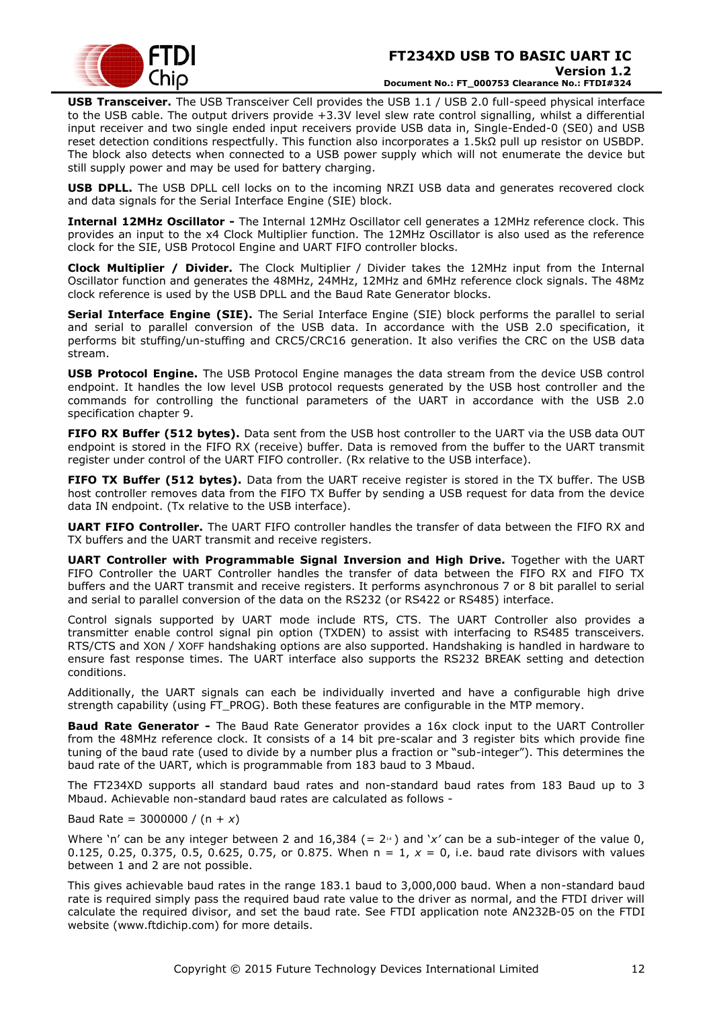

**USB Transceiver.** The USB Transceiver Cell provides the USB 1.1 / USB 2.0 full-speed physical interface to the USB cable. The output drivers provide +3.3V level slew rate control signalling, whilst a differential input receiver and two single ended input receivers provide USB data in, Single-Ended-0 (SE0) and USB reset detection conditions respectfully. This function also incorporates a 1.5kΩ pull up resistor on USBDP. The block also detects when connected to a USB power supply which will not enumerate the device but still supply power and may be used for battery charging.

**USB DPLL.** The USB DPLL cell locks on to the incoming NRZI USB data and generates recovered clock and data signals for the Serial Interface Engine (SIE) block.

**Internal 12MHz Oscillator -** The Internal 12MHz Oscillator cell generates a 12MHz reference clock. This provides an input to the x4 Clock Multiplier function. The 12MHz Oscillator is also used as the reference clock for the SIE, USB Protocol Engine and UART FIFO controller blocks.

**Clock Multiplier / Divider.** The Clock Multiplier / Divider takes the 12MHz input from the Internal Oscillator function and generates the 48MHz, 24MHz, 12MHz and 6MHz reference clock signals. The 48Mz clock reference is used by the USB DPLL and the Baud Rate Generator blocks.

**Serial Interface Engine (SIE).** The Serial Interface Engine (SIE) block performs the parallel to serial and serial to parallel conversion of the USB data. In accordance with the USB 2.0 specification, it performs bit stuffing/un-stuffing and CRC5/CRC16 generation. It also verifies the CRC on the USB data stream.

**USB Protocol Engine.** The USB Protocol Engine manages the data stream from the device USB control endpoint. It handles the low level USB protocol requests generated by the USB host controller and the commands for controlling the functional parameters of the UART in accordance with the USB 2.0 specification chapter 9.

**FIFO RX Buffer (512 bytes).** Data sent from the USB host controller to the UART via the USB data OUT endpoint is stored in the FIFO RX (receive) buffer. Data is removed from the buffer to the UART transmit register under control of the UART FIFO controller. (Rx relative to the USB interface).

**FIFO TX Buffer (512 bytes).** Data from the UART receive register is stored in the TX buffer. The USB host controller removes data from the FIFO TX Buffer by sending a USB request for data from the device data IN endpoint. (Tx relative to the USB interface).

**UART FIFO Controller.** The UART FIFO controller handles the transfer of data between the FIFO RX and TX buffers and the UART transmit and receive registers.

**UART Controller with Programmable Signal Inversion and High Drive.** Together with the UART FIFO Controller the UART Controller handles the transfer of data between the FIFO RX and FIFO TX buffers and the UART transmit and receive registers. It performs asynchronous 7 or 8 bit parallel to serial and serial to parallel conversion of the data on the RS232 (or RS422 or RS485) interface.

Control signals supported by UART mode include RTS, CTS. The UART Controller also provides a transmitter enable control signal pin option (TXDEN) to assist with interfacing to RS485 transceivers. RTS/CTS and XON / XOFF handshaking options are also supported. Handshaking is handled in hardware to ensure fast response times. The UART interface also supports the RS232 BREAK setting and detection conditions.

Additionally, the UART signals can each be individually inverted and have a configurable high drive strength capability (using FT\_PROG). Both these features are configurable in the MTP memory.

**Baud Rate Generator -** The Baud Rate Generator provides a 16x clock input to the UART Controller from the 48MHz reference clock. It consists of a 14 bit pre-scalar and 3 register bits which provide fine tuning of the baud rate (used to divide by a number plus a fraction or "sub-integer"). This determines the baud rate of the UART, which is programmable from 183 baud to 3 Mbaud.

The FT234XD supports all standard baud rates and non-standard baud rates from 183 Baud up to 3 Mbaud. Achievable non-standard baud rates are calculated as follows -

Baud Rate = 3000000 / (n + *x*)

Where 'n' can be any integer between 2 and  $16,384$  (=  $2<sup>14</sup>$ ) and 'x' can be a sub-integer of the value 0, 0.125, 0.25, 0.375, 0.5, 0.625, 0.75, or 0.875. When n = 1, *x* = 0, i.e. baud rate divisors with values between 1 and 2 are not possible.

This gives achievable baud rates in the range 183.1 baud to 3,000,000 baud. When a non-standard baud rate is required simply pass the required baud rate value to the driver as normal, and the FTDI driver will calculate the required divisor, and set the baud rate. See FTDI application note [AN232B-05](http://ftdichip.com/Documents/AppNotes/AN232B-05_BaudRates.pdf) on the [FTDI](http://www.ftdichip.com/)  [website](http://www.ftdichip.com/) [\(www.ftdichip.com\)](http://www.ftdichip.com/) for more details.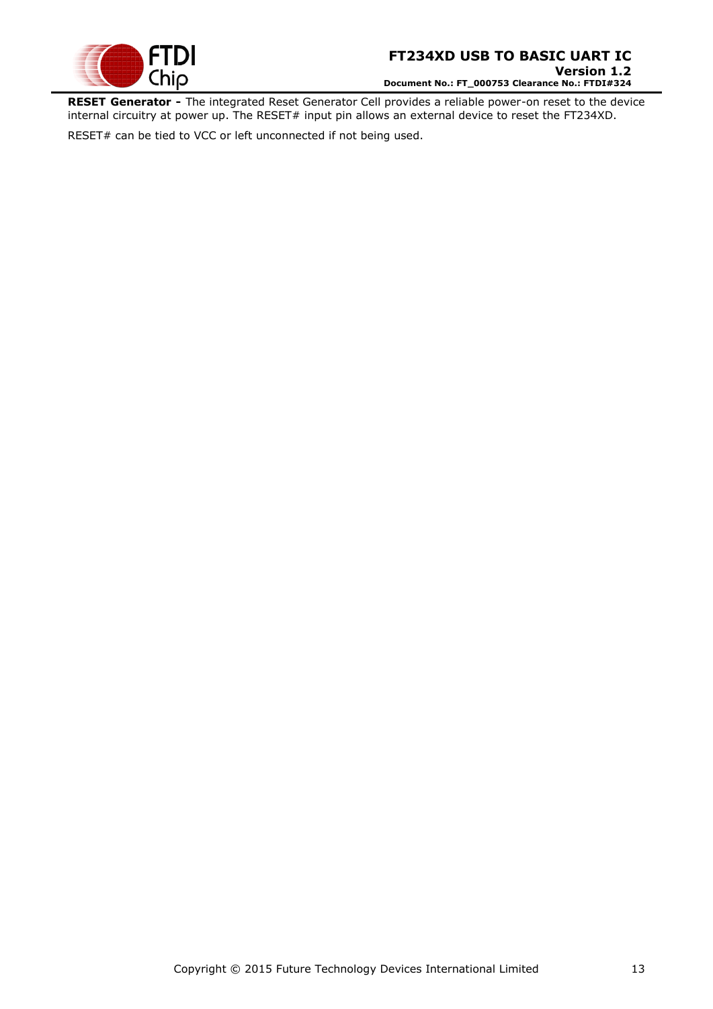

**RESET Generator -** The integrated Reset Generator Cell provides a reliable power-on reset to the device internal circuitry at power up. The RESET# input pin allows an external device to reset the FT234XD.

RESET# can be tied to VCC or left unconnected if not being used.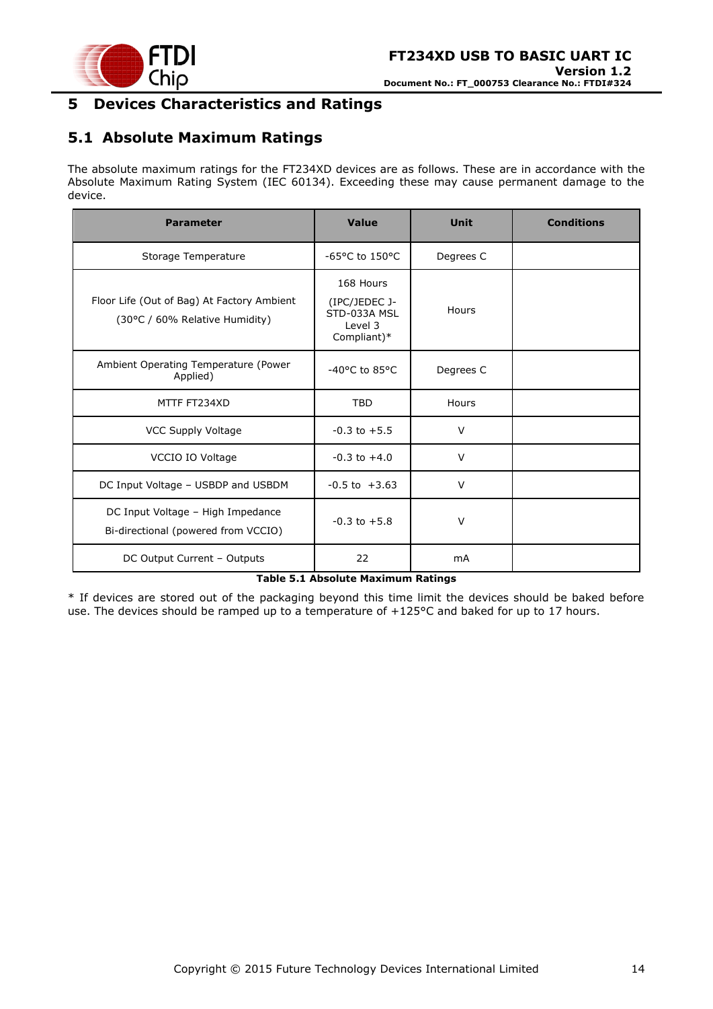

# <span id="page-13-0"></span>**5 Devices Characteristics and Ratings**

# <span id="page-13-1"></span>**5.1 Absolute Maximum Ratings**

The absolute maximum ratings for the FT234XD devices are as follows. These are in accordance with the Absolute Maximum Rating System (IEC 60134). Exceeding these may cause permanent damage to the device.

| <b>Parameter</b>                                                             | Value                                                                | <b>Unit</b> | <b>Conditions</b> |
|------------------------------------------------------------------------------|----------------------------------------------------------------------|-------------|-------------------|
| Storage Temperature                                                          | $-65$ °C to 150°C                                                    | Degrees C   |                   |
| Floor Life (Out of Bag) At Factory Ambient<br>(30°C / 60% Relative Humidity) | 168 Hours<br>(IPC/JEDEC J-<br>STD-033A MSL<br>Level 3<br>Compliant)* | Hours       |                   |
| Ambient Operating Temperature (Power<br>Applied)                             | -40°C to 85°C                                                        | Degrees C   |                   |
| MTTF FT234XD                                                                 | <b>TBD</b>                                                           | Hours       |                   |
| <b>VCC Supply Voltage</b>                                                    | $-0.3$ to $+5.5$                                                     | V           |                   |
| VCCIO IO Voltage                                                             | $-0.3$ to $+4.0$                                                     | $\vee$      |                   |
| DC Input Voltage - USBDP and USBDM                                           | $-0.5$ to $+3.63$                                                    | $\vee$      |                   |
| DC Input Voltage - High Impedance<br>Bi-directional (powered from VCCIO)     | $-0.3$ to $+5.8$                                                     | $\vee$      |                   |
| DC Output Current - Outputs                                                  | 22                                                                   | <b>mA</b>   |                   |

#### **Table 5.1 Absolute Maximum Ratings**

<span id="page-13-2"></span>\* If devices are stored out of the packaging beyond this time limit the devices should be baked before use. The devices should be ramped up to a temperature of +125°C and baked for up to 17 hours.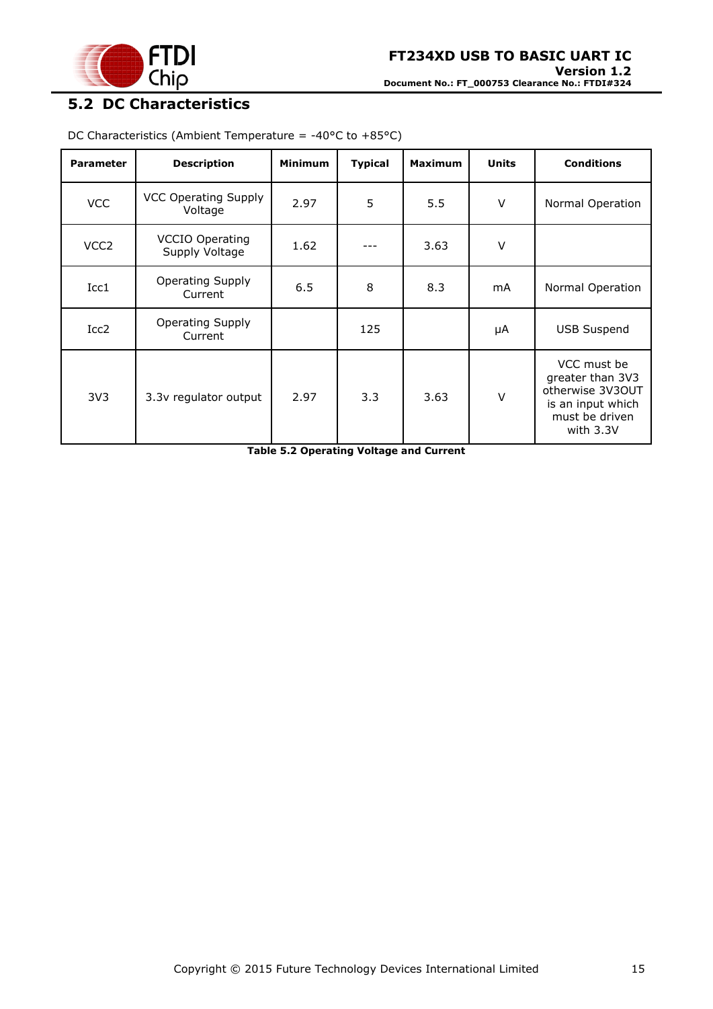

# <span id="page-14-0"></span>**5.2 DC Characteristics**

| <b>Parameter</b> | <b>Description</b>                       | <b>Minimum</b> | <b>Typical</b> | <b>Maximum</b> | <b>Units</b> | <b>Conditions</b>                                                                                         |
|------------------|------------------------------------------|----------------|----------------|----------------|--------------|-----------------------------------------------------------------------------------------------------------|
| <b>VCC</b>       | <b>VCC Operating Supply</b><br>Voltage   | 2.97           | 5              | 5.5            | V            | Normal Operation                                                                                          |
| VCC <sub>2</sub> | <b>VCCIO Operating</b><br>Supply Voltage | 1.62           |                | 3.63           | V            |                                                                                                           |
| Icc1             | <b>Operating Supply</b><br>Current       | 6.5            | 8              | 8.3            | mA           | Normal Operation                                                                                          |
| Icc2             | Operating Supply<br>Current              |                | 125            |                | μA           | <b>USB Suspend</b>                                                                                        |
| 3V <sub>3</sub>  | 3.3v regulator output                    | 2.97           | 3.3            | 3.63           | V            | VCC must be<br>greater than 3V3<br>otherwise 3V3OUT<br>is an input which<br>must be driven<br>with $3.3V$ |

DC Characteristics (Ambient Temperature = -40 $\degree$ C to +85 $\degree$ C)

<span id="page-14-1"></span>**Table 5.2 Operating Voltage and Current**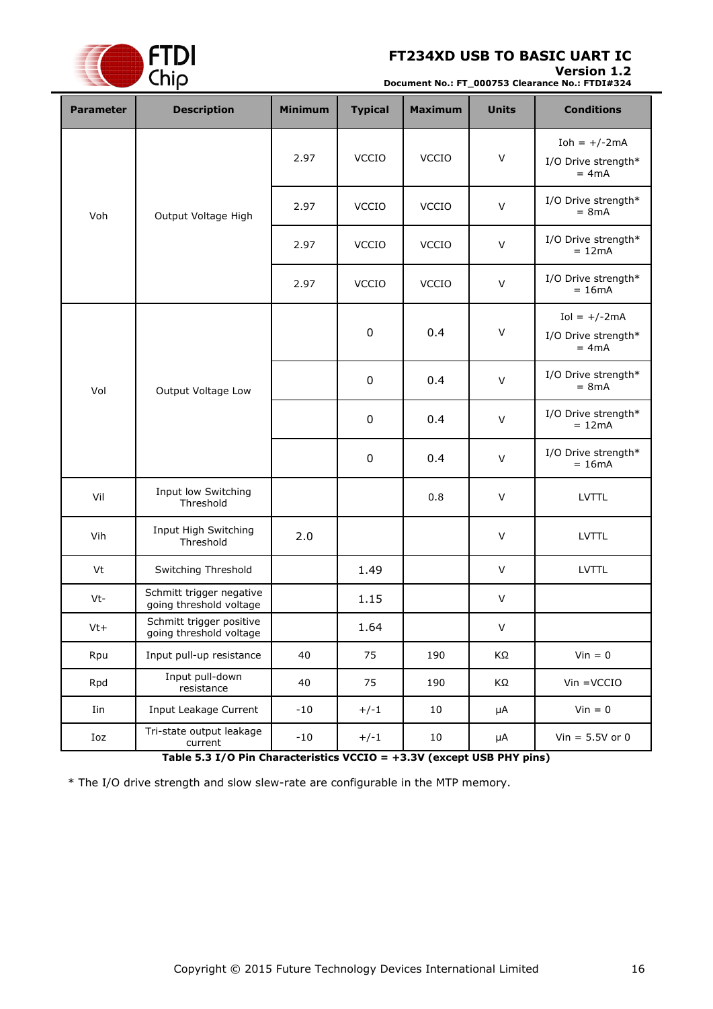### **Version 1.2**



**Document No.: FT\_000753 Clearance No.: FTDI#324**

| <b>Parameter</b> | <b>Description</b>                                  | <b>Minimum</b> | <b>Typical</b>   | <b>Maximum</b> | <b>Units</b> | <b>Conditions</b>                                |
|------------------|-----------------------------------------------------|----------------|------------------|----------------|--------------|--------------------------------------------------|
|                  |                                                     | 2.97           | <b>VCCIO</b>     | <b>VCCIO</b>   | $\vee$       | $Ioh = +/-2mA$<br>I/O Drive strength*<br>$= 4mA$ |
| Voh              | Output Voltage High                                 | 2.97           | <b>VCCIO</b>     | <b>VCCIO</b>   | $\vee$       | I/O Drive strength*<br>$= 8mA$                   |
|                  |                                                     | 2.97           | <b>VCCIO</b>     | <b>VCCIO</b>   | $\vee$       | I/O Drive strength*<br>$= 12mA$                  |
|                  |                                                     | 2.97           | VCCIO            | <b>VCCIO</b>   | $\vee$       | I/O Drive strength*<br>$= 16mA$                  |
|                  |                                                     |                | $\boldsymbol{0}$ | 0.4            | $\vee$       | $Iol = +/-2mA$<br>I/O Drive strength*<br>$= 4mA$ |
| Vol              | Output Voltage Low                                  |                | $\boldsymbol{0}$ | 0.4            | $\vee$       | I/O Drive strength*<br>$= 8mA$                   |
|                  |                                                     |                | $\pmb{0}$        | 0.4            | $\vee$       | I/O Drive strength*<br>$= 12mA$                  |
|                  |                                                     |                | $\boldsymbol{0}$ | 0.4            | $\vee$       | I/O Drive strength*<br>$= 16mA$                  |
| Vil              | Input low Switching<br>Threshold                    |                |                  | 0.8            | $\vee$       | <b>LVTTL</b>                                     |
| Vih              | Input High Switching<br>Threshold                   | 2.0            |                  |                | $\vee$       | <b>LVTTL</b>                                     |
| Vt               | Switching Threshold                                 |                | 1.49             |                | V            | <b>LVTTL</b>                                     |
| Vt-              | Schmitt trigger negative<br>going threshold voltage |                | 1.15             |                | V            |                                                  |
| $Vt+$            | Schmitt trigger positive<br>going threshold voltage |                | 1.64             |                | V            |                                                  |
| Rpu              | Input pull-up resistance                            | 40             | 75               | 190            | ΚΩ           | $Vin = 0$                                        |
| Rpd              | Input pull-down<br>resistance                       | 40             | 75               | 190            | KΩ           | $V$ in = $V$ CCIO                                |
| Iin              | Input Leakage Current                               | $-10$          | $+/-1$           | 10             | $\mu A$      | $Vin = 0$                                        |
| Ioz              | Tri-state output leakage<br>current                 | $-10$          | $+/-1$           | 10             | $\mu A$      | Vin = $5.5V$ or 0                                |

**Table 5.3 I/O Pin Characteristics VCCIO = +3.3V (except USB PHY pins)**

<span id="page-15-0"></span>\* The I/O drive strength and slow slew-rate are configurable in the MTP memory.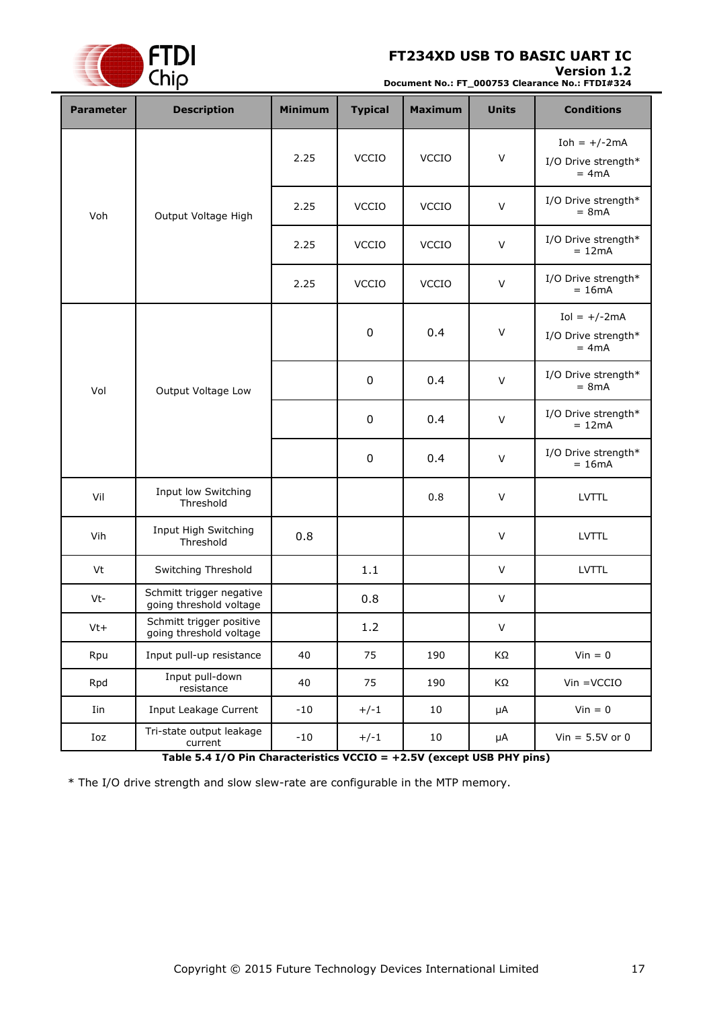### **Version 1.2**



**Document No.: FT\_000753 Clearance No.: FTDI#324**

| <b>Parameter</b> | <b>Description</b>                                  | <b>Minimum</b> | <b>Typical</b>   | <b>Maximum</b> | <b>Units</b> | <b>Conditions</b>                                |
|------------------|-----------------------------------------------------|----------------|------------------|----------------|--------------|--------------------------------------------------|
|                  |                                                     | 2.25           | <b>VCCIO</b>     | <b>VCCIO</b>   | $\vee$       | Ioh = $+/-2mA$<br>I/O Drive strength*<br>$= 4mA$ |
| Voh              | Output Voltage High                                 | 2.25           | <b>VCCIO</b>     | <b>VCCIO</b>   | $\vee$       | I/O Drive strength*<br>$= 8mA$                   |
|                  |                                                     | 2.25           | <b>VCCIO</b>     | <b>VCCIO</b>   | $\vee$       | I/O Drive strength*<br>$= 12mA$                  |
|                  |                                                     | 2.25           | <b>VCCIO</b>     | <b>VCCIO</b>   | $\vee$       | I/O Drive strength*<br>$= 16mA$                  |
|                  |                                                     |                | $\boldsymbol{0}$ | 0.4            | $\vee$       | $Iol = +/-2mA$<br>I/O Drive strength*<br>$= 4mA$ |
| Vol              | Output Voltage Low                                  |                | $\boldsymbol{0}$ | 0.4            | $\vee$       | I/O Drive strength*<br>$= 8mA$                   |
|                  |                                                     |                | $\boldsymbol{0}$ | 0.4            | $\vee$       | I/O Drive strength*<br>$= 12mA$                  |
|                  |                                                     |                | $\boldsymbol{0}$ | 0.4            | $\vee$       | I/O Drive strength*<br>$= 16mA$                  |
| Vil              | Input low Switching<br>Threshold                    |                |                  | 0.8            | V            | <b>LVTTL</b>                                     |
| Vih              | Input High Switching<br>Threshold                   | 0.8            |                  |                | $\vee$       | <b>LVTTL</b>                                     |
| Vt               | Switching Threshold                                 |                | 1.1              |                | $\vee$       | <b>LVTTL</b>                                     |
| Vt-              | Schmitt trigger negative<br>going threshold voltage |                | 0.8              |                | V            |                                                  |
| $Vt+$            | Schmitt trigger positive<br>going threshold voltage |                | $1.2\,$          |                | $\vee$       |                                                  |
| Rpu              | Input pull-up resistance                            | 40             | 75               | 190            | ΚΩ           | $Vin = 0$                                        |
| Rpd              | Input pull-down<br>resistance                       | 40             | 75               | 190            | ΚΩ           | $V$ in = $V$ CCIO                                |
| Iin              | Input Leakage Current                               | $-10$          | $+/-1$           | $10\,$         | $\mu A$      | $Vin = 0$                                        |
| Ioz              | Tri-state output leakage<br>current                 | $-10$          | $+/-1$           | 10             | $\mu A$      | Vin = $5.5V$ or 0                                |

**Table 5.4 I/O Pin Characteristics VCCIO = +2.5V (except USB PHY pins)**

<span id="page-16-0"></span>\* The I/O drive strength and slow slew-rate are configurable in the MTP memory.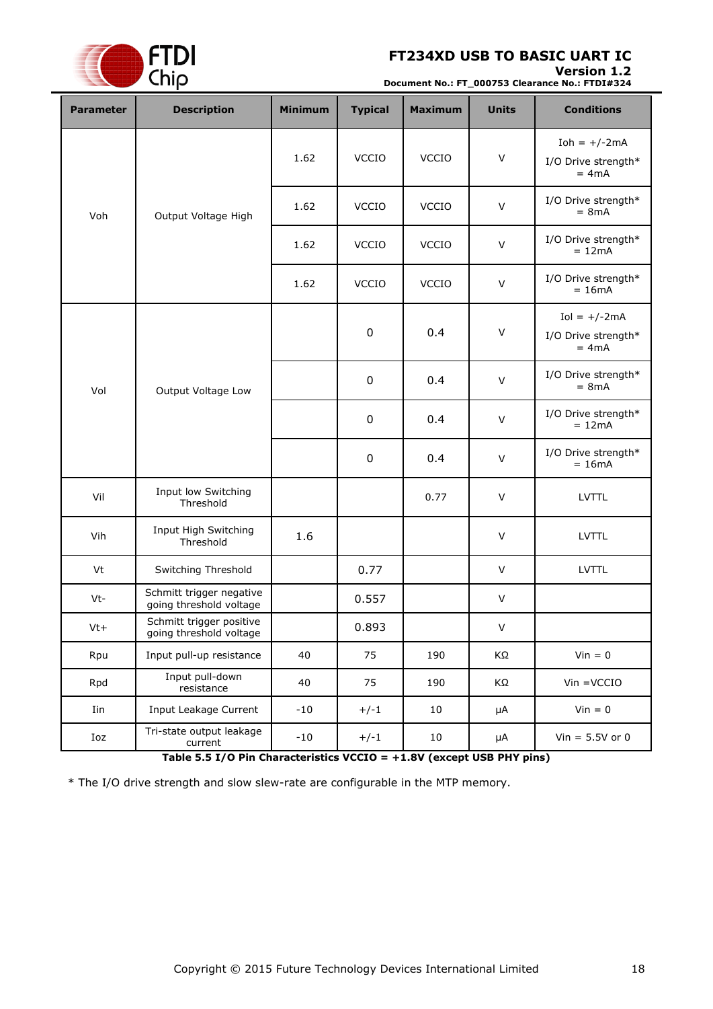### **Version 1.2**



**Document No.: FT\_000753 Clearance No.: FTDI#324**

| <b>Parameter</b>          | <b>Description</b>                                  | <b>Minimum</b> | <b>Typical</b>   | <b>Maximum</b> | <b>Units</b>                    | <b>Conditions</b>                                |
|---------------------------|-----------------------------------------------------|----------------|------------------|----------------|---------------------------------|--------------------------------------------------|
|                           |                                                     | 1.62           | <b>VCCIO</b>     | <b>VCCIO</b>   | $\vee$                          | Ioh = $+/-2mA$<br>I/O Drive strength*<br>$= 4mA$ |
| Voh                       | Output Voltage High                                 | 1.62           | <b>VCCIO</b>     | <b>VCCIO</b>   | $\vee$                          | I/O Drive strength*<br>$= 8mA$                   |
|                           |                                                     | 1.62           | <b>VCCIO</b>     | <b>VCCIO</b>   | $\vee$                          | I/O Drive strength*<br>$= 12mA$                  |
|                           |                                                     | 1.62           | <b>VCCIO</b>     | <b>VCCIO</b>   | $\vee$                          | I/O Drive strength*<br>$= 16mA$                  |
|                           |                                                     |                | $\boldsymbol{0}$ | 0.4            | $\vee$                          | $Iol = +/-2mA$<br>I/O Drive strength*<br>$= 4mA$ |
| Vol<br>Output Voltage Low |                                                     |                | $\boldsymbol{0}$ | 0.4            | $\vee$                          | I/O Drive strength*<br>$= 8mA$                   |
|                           |                                                     |                | $\boldsymbol{0}$ | 0.4            | $\vee$                          | I/O Drive strength*<br>$= 12mA$                  |
|                           |                                                     | $\mathbf 0$    | 0.4              | $\vee$         | I/O Drive strength*<br>$= 16mA$ |                                                  |
| Vil                       | Input low Switching<br>Threshold                    |                |                  | 0.77           | V                               | <b>LVTTL</b>                                     |
| Vih                       | Input High Switching<br>Threshold                   | 1.6            |                  |                | $\vee$                          | <b>LVTTL</b>                                     |
| Vt                        | Switching Threshold                                 |                | 0.77             |                | $\vee$                          | <b>LVTTL</b>                                     |
| Vt-                       | Schmitt trigger negative<br>going threshold voltage |                | 0.557            |                | V                               |                                                  |
| $Vt+$                     | Schmitt trigger positive<br>going threshold voltage |                | 0.893            |                | $\vee$                          |                                                  |
| Rpu                       | Input pull-up resistance                            | 40             | 75               | 190            | ΚΩ                              | $V$ in = 0                                       |
| Rpd                       | Input pull-down<br>resistance                       | 40             | 75               | 190            | ΚΩ                              | $V$ in = $VCCIO$                                 |
| Iin                       | Input Leakage Current                               | $-10$          | $+/-1$           | 10             | $\mu A$                         | $Vin = 0$                                        |
| Ioz                       | Tri-state output leakage<br>current                 | $-10$          | $+/-1$           | 10             | $\mu A$                         | Vin = $5.5V$ or 0                                |

**Table 5.5 I/O Pin Characteristics VCCIO = +1.8V (except USB PHY pins)**

<span id="page-17-0"></span>\* The I/O drive strength and slow slew-rate are configurable in the MTP memory.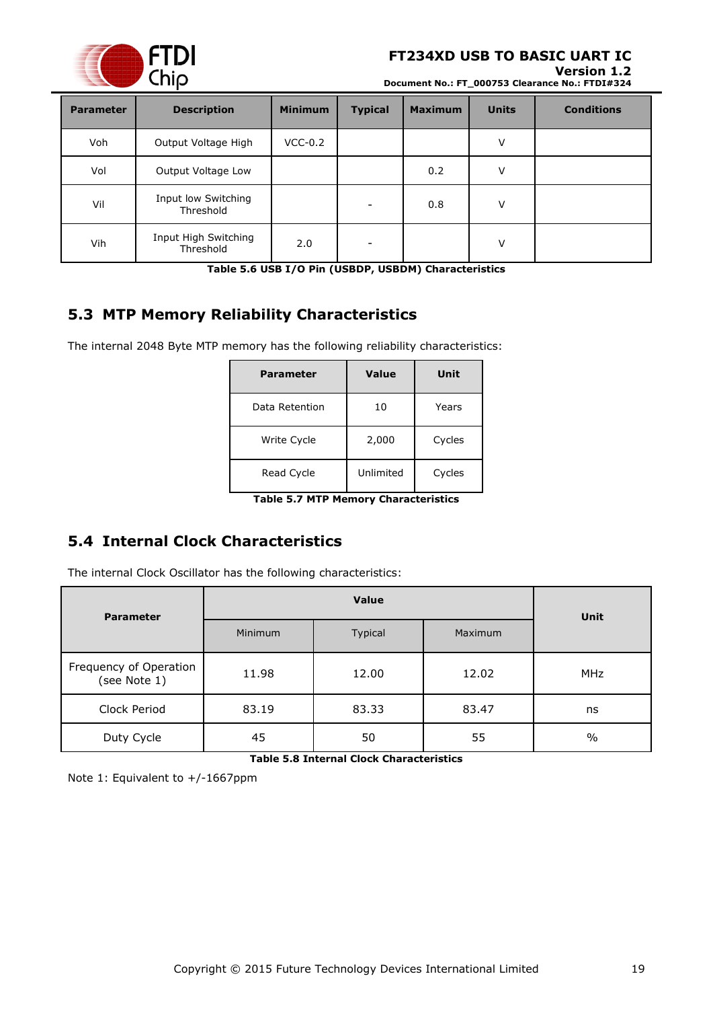

#### **Version 1.2**

**Document No.: FT\_000753 Clearance No.: FTDI#324**

| <b>Parameter</b> | <b>Description</b>                | <b>Minimum</b> | <b>Typical</b> | <b>Maximum</b> | <b>Units</b> | <b>Conditions</b> |
|------------------|-----------------------------------|----------------|----------------|----------------|--------------|-------------------|
| Voh              | Output Voltage High               | $VCC-0.2$      |                |                | V            |                   |
| Vol              | Output Voltage Low                |                |                | 0.2            | V            |                   |
| Vil              | Input low Switching<br>Threshold  |                |                | 0.8            | V            |                   |
| Vih              | Input High Switching<br>Threshold | 2.0            |                |                | v            |                   |

**Table 5.6 USB I/O Pin (USBDP, USBDM) Characteristics**

# <span id="page-18-2"></span><span id="page-18-0"></span>**5.3 MTP Memory Reliability Characteristics**

The internal 2048 Byte MTP memory has the following reliability characteristics:

| <b>Parameter</b> | <b>Value</b> | Unit   |
|------------------|--------------|--------|
| Data Retention   | 10           | Years  |
| Write Cycle      | 2,000        | Cycles |
| Read Cycle       | Unlimited    | Cycles |

| <b>Table 5.7 MTP Memory Characteristics</b> |  |  |
|---------------------------------------------|--|--|

# <span id="page-18-3"></span><span id="page-18-1"></span>**5.4 Internal Clock Characteristics**

The internal Clock Oscillator has the following characteristics:

| <b>Parameter</b>                       |                | <b>Unit</b> |         |               |  |
|----------------------------------------|----------------|-------------|---------|---------------|--|
|                                        | <b>Minimum</b> | Typical     | Maximum |               |  |
| Frequency of Operation<br>(see Note 1) | 11.98          | 12.00       | 12.02   | <b>MHz</b>    |  |
| Clock Period                           | 83.19          | 83.33       | 83.47   | ns            |  |
| Duty Cycle                             | 45             | 50          | 55      | $\frac{0}{0}$ |  |

**Table 5.8 Internal Clock Characteristics**

<span id="page-18-4"></span>Note 1: Equivalent to +/-1667ppm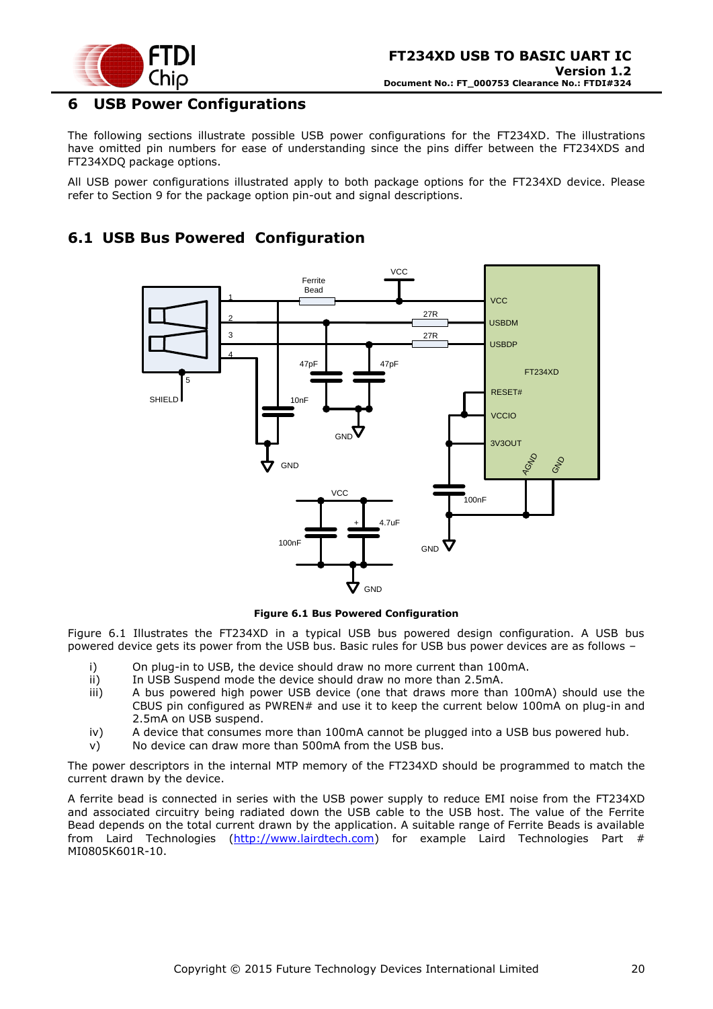

# <span id="page-19-0"></span>**6 USB Power Configurations**

The following sections illustrate possible USB power configurations for the FT234XD. The illustrations have omitted pin numbers for ease of understanding since the pins differ between the FT234XDS and FT234XDQ package options.

All USB power configurations illustrated apply to both package options for the FT234XD device. Please refer to Section [9](#page-30-0) for the package option pin-out and signal descriptions.

# <span id="page-19-1"></span>**6.1 USB Bus Powered Configuration**



#### **Figure 6.1 Bus Powered Configuration**

<span id="page-19-2"></span>[Figure 6.1](#page-19-2) Illustrates the FT234XD in a typical USB bus powered design configuration. A USB bus powered device gets its power from the USB bus. Basic rules for USB bus power devices are as follows –

- i) On plug-in to USB, the device should draw no more current than 100mA.
- ii) In USB Suspend mode the device should draw no more than 2.5mA.
- iii) A bus powered high power USB device (one that draws more than 100mA) should use the CBUS pin configured as PWREN# and use it to keep the current below 100mA on plug-in and 2.5mA on USB suspend.
- iv) A device that consumes more than 100mA cannot be plugged into a USB bus powered hub.
- v) No device can draw more than 500mA from the USB bus.

The power descriptors in the internal MTP memory of the FT234XD should be programmed to match the current drawn by the device.

A ferrite bead is connected in series with the USB power supply to reduce EMI noise from the FT234XD and associated circuitry being radiated down the USB cable to the USB host. The value of the Ferrite Bead depends on the total current drawn by the application. A suitable range of Ferrite Beads is available from Laird Technologies [\(http://www.lairdtech.com\)](http://www.lairdtech.com/) for example Laird Technologies Part # MI0805K601R-10.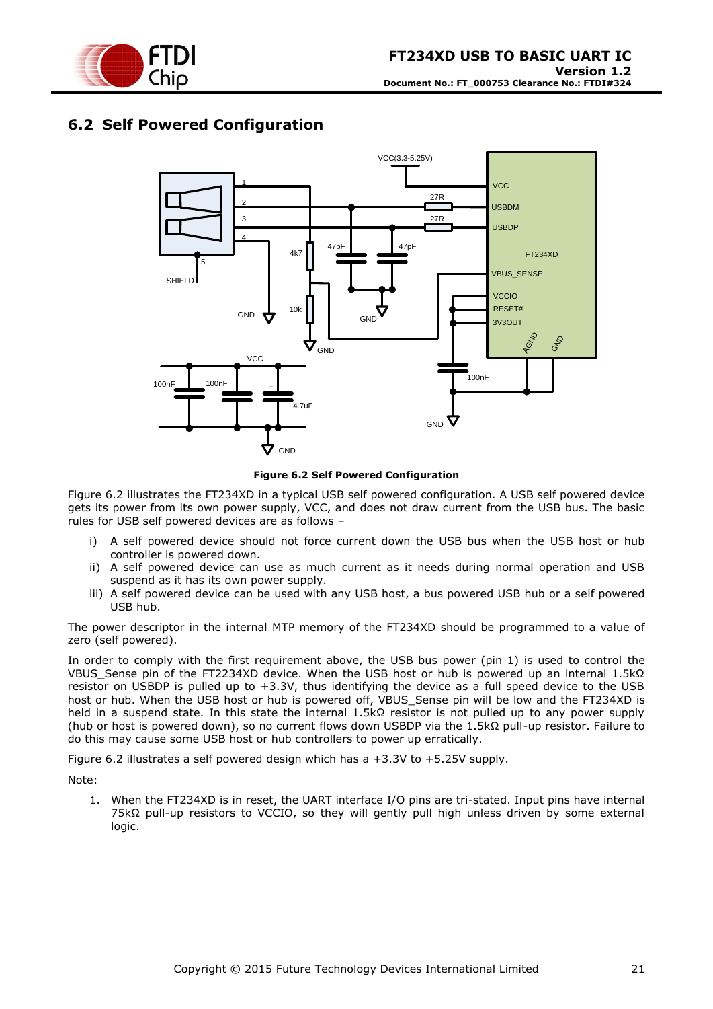

# <span id="page-20-0"></span>**6.2 Self Powered Configuration**



**Figure 6.2 Self Powered Configuration**

<span id="page-20-1"></span>[Figure 6.2](#page-20-1) illustrates the FT234XD in a typical USB self powered configuration. A USB self powered device gets its power from its own power supply, VCC, and does not draw current from the USB bus. The basic rules for USB self powered devices are as follows –

- i) A self powered device should not force current down the USB bus when the USB host or hub controller is powered down.
- ii) A self powered device can use as much current as it needs during normal operation and USB suspend as it has its own power supply.
- iii) A self powered device can be used with any USB host, a bus powered USB hub or a self powered USB hub.

The power descriptor in the internal MTP memory of the FT234XD should be programmed to a value of zero (self powered).

In order to comply with the first requirement above, the USB bus power (pin 1) is used to control the VBUS\_Sense pin of the FT2234XD device. When the USB host or hub is powered up an internal 1.5kΩ resistor on USBDP is pulled up to +3.3V, thus identifying the device as a full speed device to the USB host or hub. When the USB host or hub is powered off, VBUS\_Sense pin will be low and the FT234XD is held in a suspend state. In this state the internal 1.5kΩ resistor is not pulled up to any power supply (hub or host is powered down), so no current flows down USBDP via the 1.5kΩ pull-up resistor. Failure to do this may cause some USB host or hub controllers to power up erratically.

[Figure 6.2](#page-20-1) illustrates a self powered design which has a +3.3V to +5.25V supply.

Note:

1. When the FT234XD is in reset, the UART interface I/O pins are tri-stated. Input pins have internal 75kΩ pull-up resistors to VCCIO, so they will gently pull high unless driven by some external logic.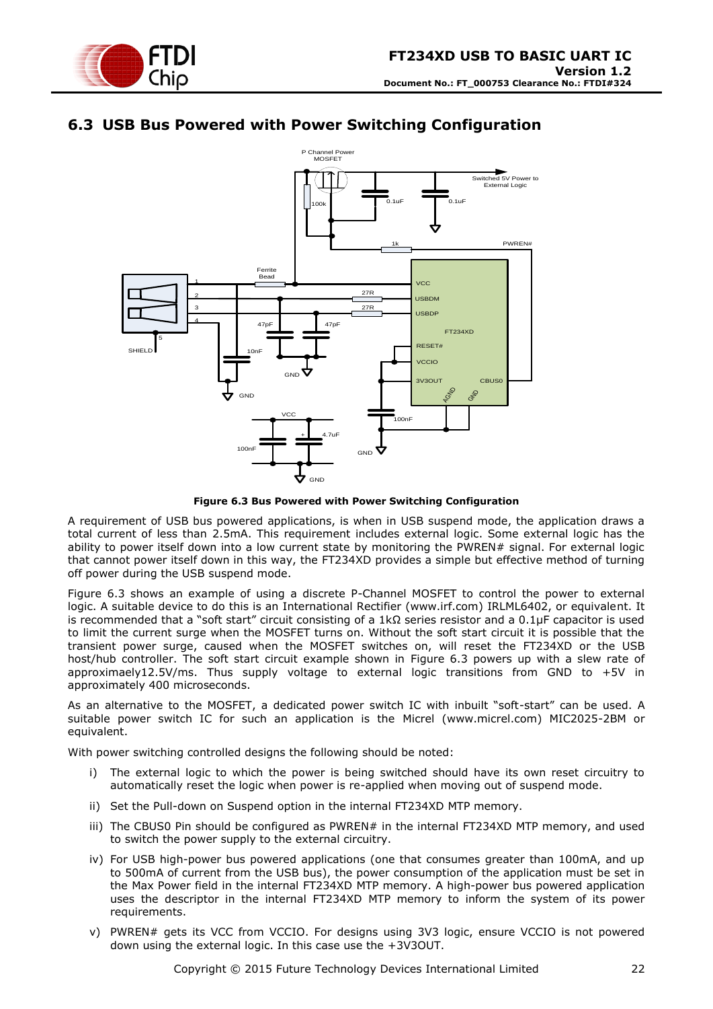

# <span id="page-21-0"></span>**6.3 USB Bus Powered with Power Switching Configuration**



**Figure 6.3 Bus Powered with Power Switching Configuration**

<span id="page-21-1"></span>A requirement of USB bus powered applications, is when in USB suspend mode, the application draws a total current of less than 2.5mA. This requirement includes external logic. Some external logic has the ability to power itself down into a low current state by monitoring the PWREN# signal. For external logic that cannot power itself down in this way, the FT234XD provides a simple but effective method of turning off power during the USB suspend mode.

[Figure 6.3](#page-21-1) shows an example of using a discrete P-Channel MOSFET to control the power to external logic. A suitable device to do this is an International Rectifier (www.irf.com) IRLML6402, or equivalent. It is recommended that a "soft start" circuit consisting of a 1kΩ series resistor and a 0.1μF capacitor is used to limit the current surge when the MOSFET turns on. Without the soft start circuit it is possible that the transient power surge, caused when the MOSFET switches on, will reset the FT234XD or the USB host/hub controller. The soft start circuit example shown in [Figure 6.3](#page-21-1) powers up with a slew rate of approximaely12.5V/ms. Thus supply voltage to external logic transitions from GND to +5V in approximately 400 microseconds.

As an alternative to the MOSFET, a dedicated power switch IC with inbuilt "soft-start" can be used. A suitable power switch IC for such an application is the Micrel [\(www.micrel.com\)](file://///glaspssv1/General/Engineering/Engineering%20_Documents/DS_FT232R/DS_FT232R_V200/www.micrel.com) MIC2025-2BM or equivalent.

With power switching controlled designs the following should be noted:

- i) The external logic to which the power is being switched should have its own reset circuitry to automatically reset the logic when power is re-applied when moving out of suspend mode.
- ii) Set the Pull-down on Suspend option in the internal FT234XD MTP memory.
- iii) The CBUS0 Pin should be configured as PWREN# in the internal FT234XD MTP memory, and used to switch the power supply to the external circuitry.
- iv) For USB high-power bus powered applications (one that consumes greater than 100mA, and up to 500mA of current from the USB bus), the power consumption of the application must be set in the Max Power field in the internal FT234XD MTP memory. A high-power bus powered application uses the descriptor in the internal FT234XD MTP memory to inform the system of its power requirements.
- v) PWREN# gets its VCC from VCCIO. For designs using 3V3 logic, ensure VCCIO is not powered down using the external logic. In this case use the +3V3OUT.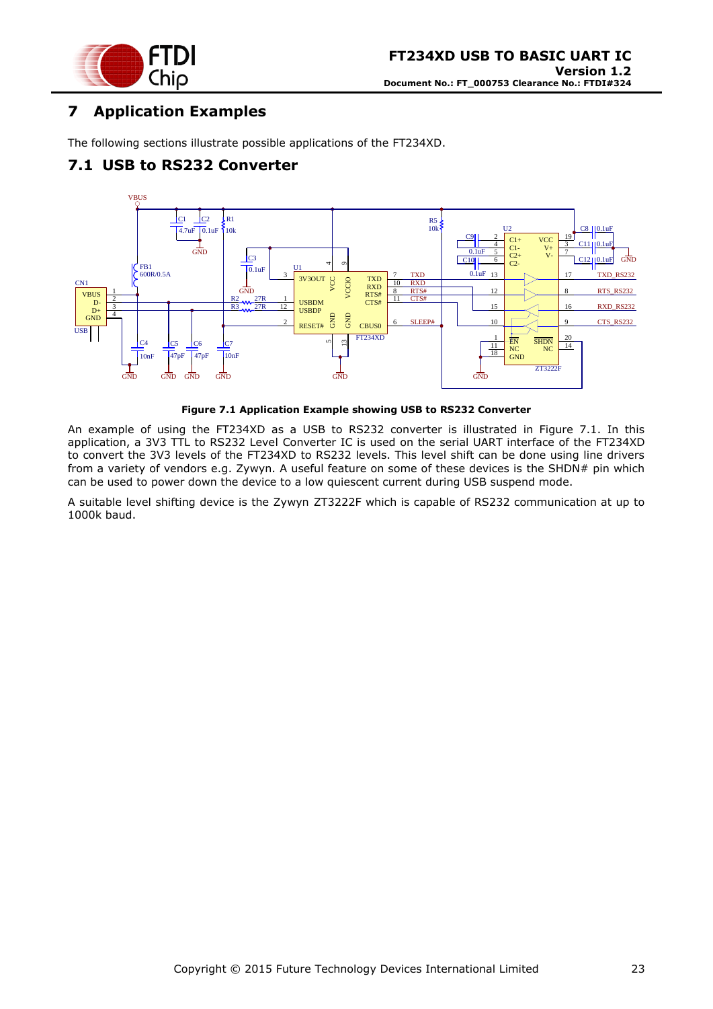

# <span id="page-22-0"></span>**7 Application Examples**

The following sections illustrate possible applications of the FT234XD.

# <span id="page-22-1"></span>**7.1 USB to RS232 Converter**





<span id="page-22-2"></span>An example of using the FT234XD as a USB to RS232 converter is illustrated in Figure 7.1. In this application, a 3V3 TTL to RS232 Level Converter IC is used on the serial UART interface of the FT234XD to convert the 3V3 levels of the FT234XD to RS232 levels. This level shift can be done using line drivers from a variety of vendors e.g. Zywyn. A useful feature on some of these devices is the SHDN# pin which can be used to power down the device to a low quiescent current during USB suspend mode.

A suitable level shifting device is the Zywyn ZT3222F which is capable of RS232 communication at up to 1000k baud.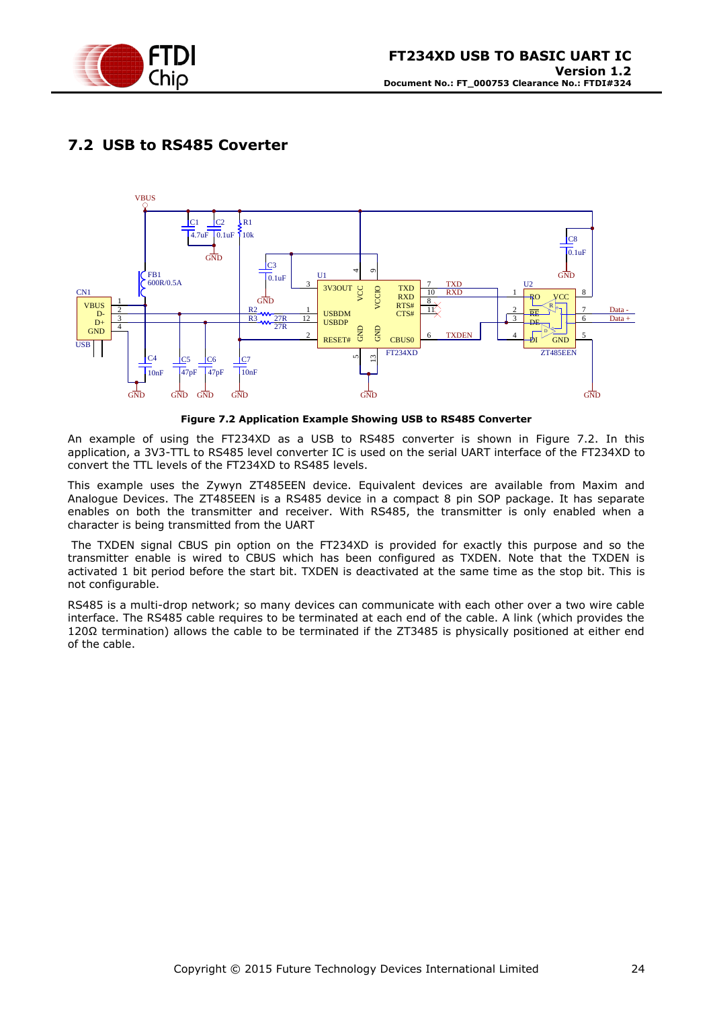

# <span id="page-23-0"></span>**7.2 USB to RS485 Coverter**



#### **Figure 7.2 Application Example Showing USB to RS485 Converter**

<span id="page-23-1"></span>An example of using the FT234XD as a USB to RS485 converter is shown in Figure 7.2. In this application, a 3V3-TTL to RS485 level converter IC is used on the serial UART interface of the FT234XD to convert the TTL levels of the FT234XD to RS485 levels.

This example uses the Zywyn ZT485EEN device. Equivalent devices are available from Maxim and Analogue Devices. The ZT485EEN is a RS485 device in a compact 8 pin SOP package. It has separate enables on both the transmitter and receiver. With RS485, the transmitter is only enabled when a character is being transmitted from the UART

The TXDEN signal CBUS pin option on the FT234XD is provided for exactly this purpose and so the transmitter enable is wired to CBUS which has been configured as TXDEN. Note that the TXDEN is activated 1 bit period before the start bit. TXDEN is deactivated at the same time as the stop bit. This is not configurable.

RS485 is a multi-drop network; so many devices can communicate with each other over a two wire cable interface. The RS485 cable requires to be terminated at each end of the cable. A link (which provides the 120Ω termination) allows the cable to be terminated if the ZT3485 is physically positioned at either end of the cable.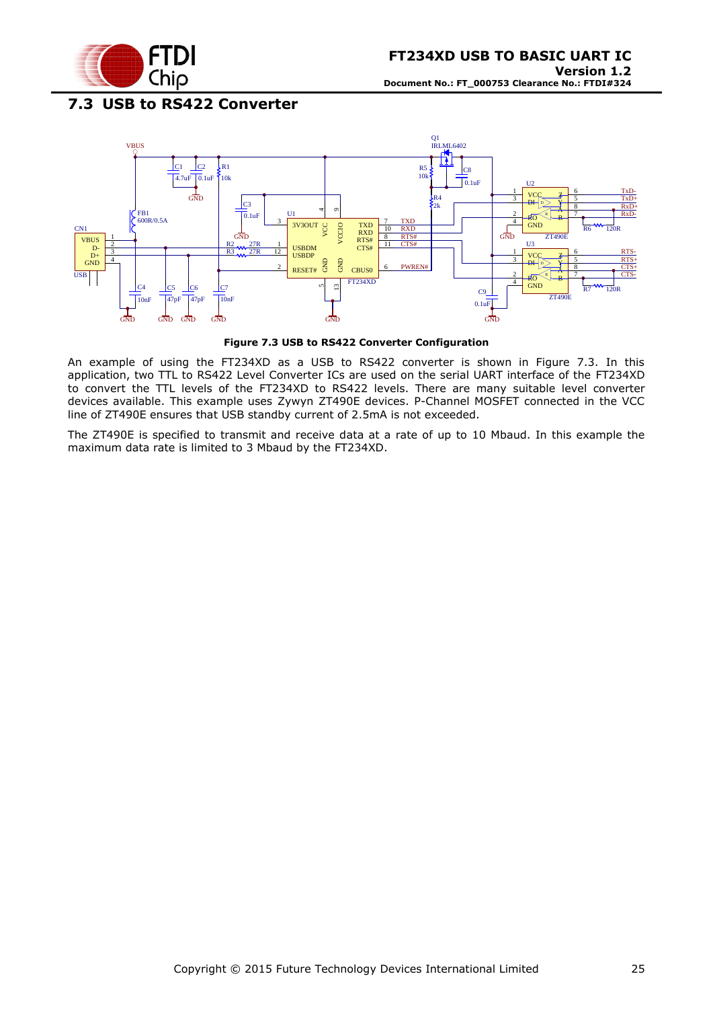

# <span id="page-24-0"></span>**7.3 USB to RS422 Converter**



**Figure 7.3 USB to RS422 Converter Configuration**

<span id="page-24-1"></span>An example of using the FT234XD as a USB to RS422 converter is shown in Figure 7.3. In this application, two TTL to RS422 Level Converter ICs are used on the serial UART interface of the FT234XD to convert the TTL levels of the FT234XD to RS422 levels. There are many suitable level converter devices available. This example uses Zywyn ZT490E devices. P-Channel MOSFET connected in the VCC line of ZT490E ensures that USB standby current of 2.5mA is not exceeded.

The ZT490E is specified to transmit and receive data at a rate of up to 10 Mbaud. In this example the maximum data rate is limited to 3 Mbaud by the FT234XD.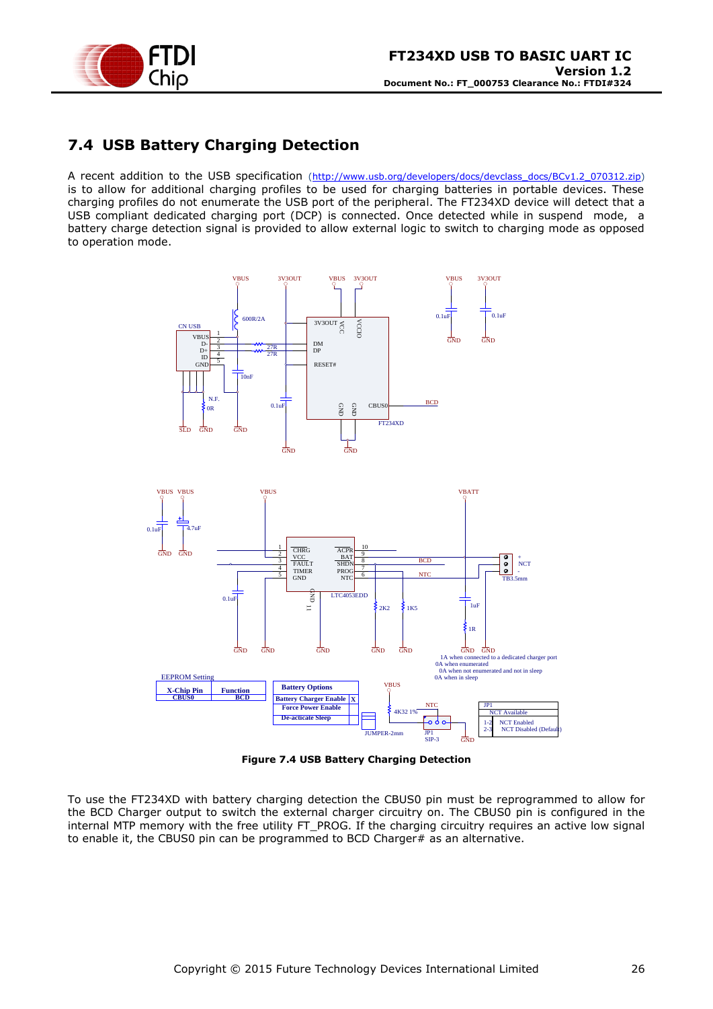

# <span id="page-25-0"></span>**7.4 USB Battery Charging Detection**

A recent addition to the USB specification [\(http://www.usb.org/developers/docs/devclass\\_docs/BCv1.2\\_070312.zip\)](http://www.usb.org/developers/docs/devclass_docs/BCv1.2_070312.zip) is to allow for additional charging profiles to be used for charging batteries in portable devices. These charging profiles do not enumerate the USB port of the peripheral. The FT234XD device will detect that a USB compliant dedicated charging port (DCP) is connected. Once detected while in suspend mode, a battery charge detection signal is provided to allow external logic to switch to charging mode as opposed to operation mode.



**Figure 7.4 USB Battery Charging Detection**

<span id="page-25-1"></span>To use the FT234XD with battery charging detection the CBUS0 pin must be reprogrammed to allow for the BCD Charger output to switch the external charger circuitry on. The CBUS0 pin is configured in the internal MTP memory with the free utility FT\_PROG. If the charging circuitry requires an active low signal to enable it, the CBUS0 pin can be programmed to BCD Charger# as an alternative.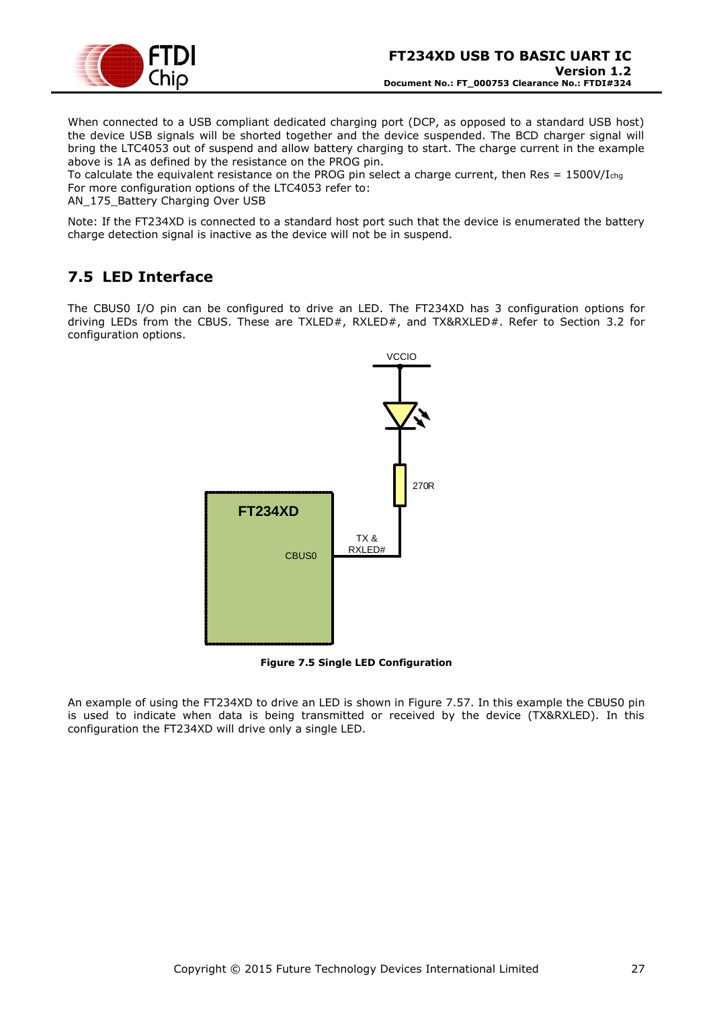

When connected to a USB compliant dedicated charging port (DCP, as opposed to a standard USB host) the device USB signals will be shorted together and the device suspended. The BCD charger signal will bring the LTC4053 out of suspend and allow battery charging to start. The charge current in the example above is 1A as defined by the resistance on the PROG pin.

To calculate the equivalent resistance on the PROG pin select a charge current, then Res =  $1500V/I<sub>chq</sub>$ For more configuration options of the LTC4053 refer to:

AN 175 Battery Charging Over USB

Note: If the FT234XD is connected to a standard host port such that the device is enumerated the battery charge detection signal is inactive as the device will not be in suspend.

# <span id="page-26-0"></span>**7.5 LED Interface**

The CBUS0 I/O pin can be configured to drive an LED. The FT234XD has 3 configuration options for driving LEDs from the CBUS. These are TXLED#, RXLED#, and TX&RXLED#. Refer to Section [3.2](#page-7-0) for configuration options.



**Figure 7.5 Single LED Configuration**

<span id="page-26-1"></span>An example of using the FT234XD to drive an LED is shown in [Figure 7.57.](#page-26-1) In this example the CBUS0 pin is used to indicate when data is being transmitted or received by the device (TX&RXLED). In this configuration the FT234XD will drive only a single LED.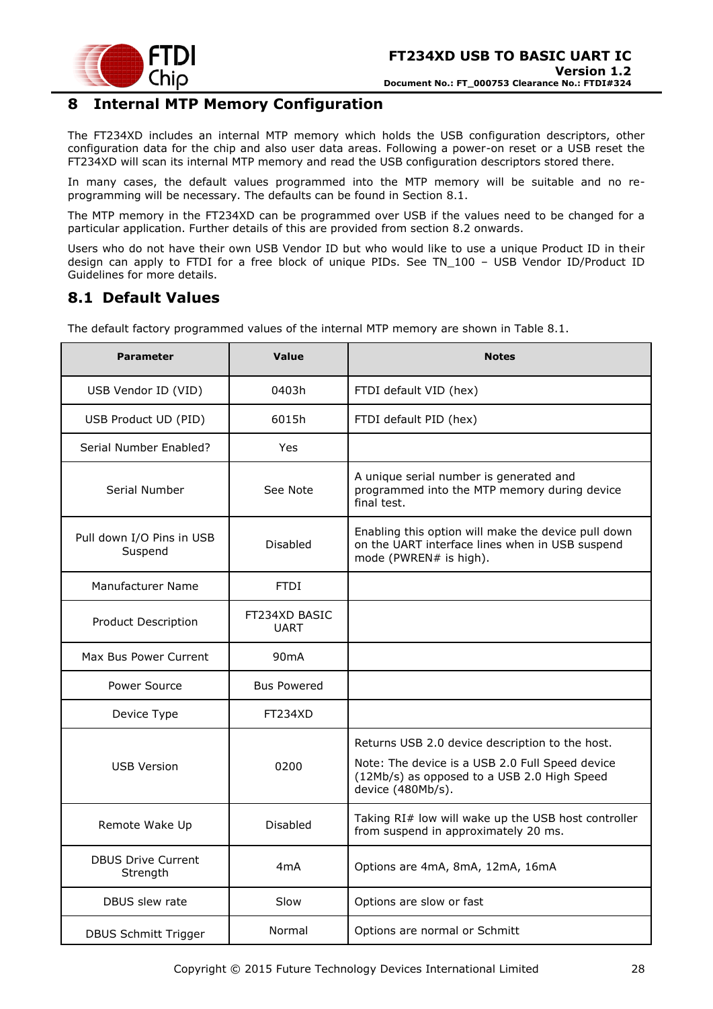

# <span id="page-27-0"></span>**8 Internal MTP Memory Configuration**

The FT234XD includes an internal MTP memory which holds the USB configuration descriptors, other configuration data for the chip and also user data areas. Following a power-on reset or a USB reset the FT234XD will scan its internal MTP memory and read the USB configuration descriptors stored there.

In many cases, the default values programmed into the MTP memory will be suitable and no reprogramming will be necessary. The defaults can be found in Section [8.1.](#page-27-1)

The MTP memory in the FT234XD can be programmed over USB if the values need to be changed for a particular application. Further details of this are provided from section [8.2](#page-28-0) onwards.

Users who do not have their own USB Vendor ID but who would like to use a unique Product ID in their design can apply to FTDI for a free block of unique PIDs. See TN\_100 – USB Vendor ID/Product ID Guidelines for more details.

### <span id="page-27-1"></span>**8.1 Default Values**

The default factory programmed values of the internal MTP memory are shown in [Table 8.1.](#page-28-2)

| <b>Parameter</b>                      | <b>Value</b>                 | <b>Notes</b>                                                                                                                                                           |
|---------------------------------------|------------------------------|------------------------------------------------------------------------------------------------------------------------------------------------------------------------|
| USB Vendor ID (VID)                   | 0403h                        | FTDI default VID (hex)                                                                                                                                                 |
| USB Product UD (PID)                  | 6015h                        | FTDI default PID (hex)                                                                                                                                                 |
| Serial Number Enabled?                | Yes                          |                                                                                                                                                                        |
| Serial Number                         | See Note                     | A unique serial number is generated and<br>programmed into the MTP memory during device<br>final test.                                                                 |
| Pull down I/O Pins in USB<br>Suspend  | <b>Disabled</b>              | Enabling this option will make the device pull down<br>on the UART interface lines when in USB suspend<br>mode (PWREN# is high).                                       |
| Manufacturer Name                     | <b>FTDI</b>                  |                                                                                                                                                                        |
| <b>Product Description</b>            | FT234XD BASIC<br><b>UART</b> |                                                                                                                                                                        |
| Max Bus Power Current                 | 90mA                         |                                                                                                                                                                        |
| Power Source                          | <b>Bus Powered</b>           |                                                                                                                                                                        |
| Device Type                           | FT234XD                      |                                                                                                                                                                        |
| <b>USB Version</b>                    | 0200                         | Returns USB 2.0 device description to the host.<br>Note: The device is a USB 2.0 Full Speed device<br>(12Mb/s) as opposed to a USB 2.0 High Speed<br>device (480Mb/s). |
| Remote Wake Up                        | <b>Disabled</b>              | Taking RI# low will wake up the USB host controller<br>from suspend in approximately 20 ms.                                                                            |
| <b>DBUS Drive Current</b><br>Strength | 4mA                          | Options are 4mA, 8mA, 12mA, 16mA                                                                                                                                       |
| DBUS slew rate                        | Slow                         | Options are slow or fast                                                                                                                                               |
| <b>DBUS Schmitt Trigger</b>           | Normal                       | Options are normal or Schmitt                                                                                                                                          |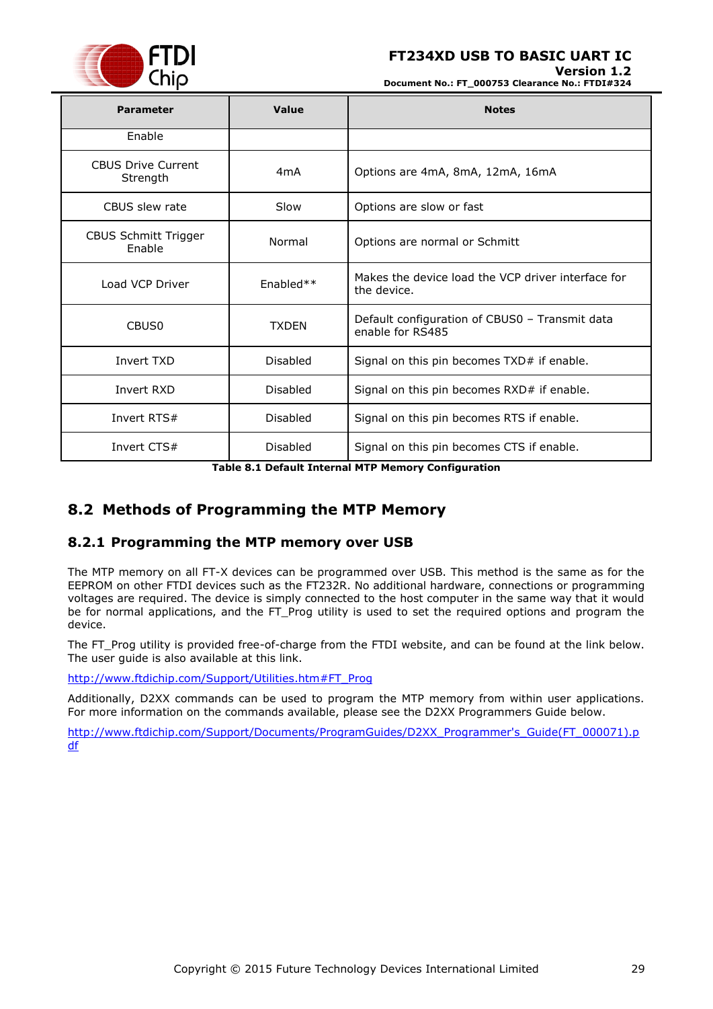

**Version 1.2 Document No.: FT\_000753 Clearance No.: FTDI#324**

| <b>Parameter</b>                      | Value            | <b>Notes</b>                                                       |
|---------------------------------------|------------------|--------------------------------------------------------------------|
| Enable                                |                  |                                                                    |
| <b>CBUS Drive Current</b><br>Strength | 4 <sub>m</sub> A | Options are 4mA, 8mA, 12mA, 16mA                                   |
| CBUS slew rate                        | Slow             | Options are slow or fast                                           |
| <b>CBUS Schmitt Trigger</b><br>Enable | Normal           | Options are normal or Schmitt                                      |
| Load VCP Driver                       | Enabled**        | Makes the device load the VCP driver interface for<br>the device.  |
| CBUS <sub>0</sub>                     | <b>TXDFN</b>     | Default configuration of CBUS0 - Transmit data<br>enable for RS485 |
| Invert TXD                            | <b>Disabled</b>  | Signal on this pin becomes TXD# if enable.                         |
| Invert RXD                            | Disabled         | Signal on this pin becomes RXD# if enable.                         |
| Invert RTS#                           | Disabled         | Signal on this pin becomes RTS if enable.                          |
| Invert CTS#<br>Disabled               |                  | Signal on this pin becomes CTS if enable.                          |

**Table 8.1 Default Internal MTP Memory Configuration**

# <span id="page-28-2"></span><span id="page-28-0"></span>**8.2 Methods of Programming the MTP Memory**

### <span id="page-28-1"></span>**8.2.1 Programming the MTP memory over USB**

The MTP memory on all FT-X devices can be programmed over USB. This method is the same as for the EEPROM on other FTDI devices such as the FT232R. No additional hardware, connections or programming voltages are required. The device is simply connected to the host computer in the same way that it would be for normal applications, and the FT\_Prog utility is used to set the required options and program the device.

The FT\_Prog utility is provided free-of-charge from the FTDI website, and can be found at the link below. The user guide is also available at this link.

[http://www.ftdichip.com/Support/Utilities.htm#FT\\_Prog](http://www.ftdichip.com/Support/Utilities.htm#FT_Prog)

Additionally, D2XX commands can be used to program the MTP memory from within user applications. For more information on the commands available, please see the D2XX Programmers Guide below.

[http://www.ftdichip.com/Support/Documents/ProgramGuides/D2XX\\_Programmer's\\_Guide\(FT\\_000071\).p](http://www.ftdichip.com/Support/Documents/ProgramGuides/D2XX_Programmer) [df](http://www.ftdichip.com/Support/Documents/ProgramGuides/D2XX_Programmer)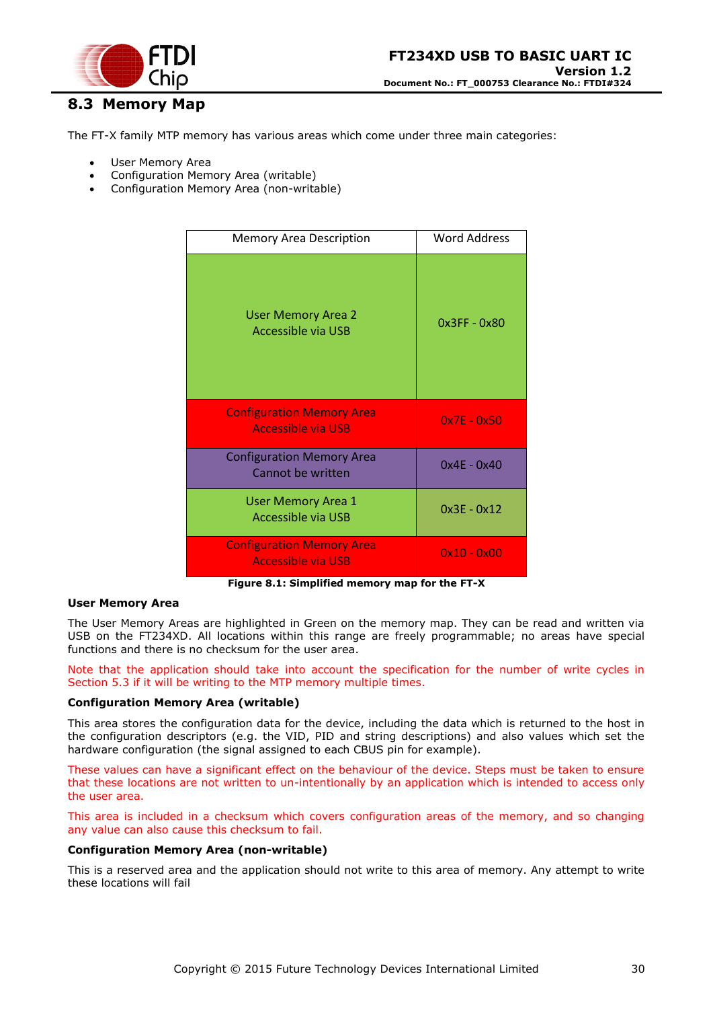

# <span id="page-29-0"></span>**8.3 Memory Map**

The FT-X family MTP memory has various areas which come under three main categories:

- User Memory Area
- Configuration Memory Area (writable)
- Configuration Memory Area (non-writable)

| <b>Memory Area Description</b>                                | Word Address  |
|---------------------------------------------------------------|---------------|
| <b>User Memory Area 2</b><br><b>Accessible via USB</b>        | 0x3FF - 0x80  |
| <b>Configuration Memory Area</b><br><b>Accessible via USB</b> | $0x7E - 0x50$ |
| <b>Configuration Memory Area</b><br>Cannot be written         | $0x4E - 0x40$ |
| <b>User Memory Area 1</b><br><b>Accessible via USB</b>        | $0x3E - 0x12$ |
| <b>Configuration Memory Area</b><br><b>Accessible via USB</b> | $0x10 - 0x00$ |

**Figure 8.1: Simplified memory map for the FT-X**

#### <span id="page-29-1"></span>**User Memory Area**

The User Memory Areas are highlighted in Green on the memory map. They can be read and written via USB on the FT234XD. All locations within this range are freely programmable; no areas have special functions and there is no checksum for the user area.

Note that the application should take into account the specification for the number of write cycles in Section [5.3](#page-18-0) if it will be writing to the MTP memory multiple times.

#### **Configuration Memory Area (writable)**

This area stores the configuration data for the device, including the data which is returned to the host in the configuration descriptors (e.g. the VID, PID and string descriptions) and also values which set the hardware configuration (the signal assigned to each CBUS pin for example).

These values can have a significant effect on the behaviour of the device. Steps must be taken to ensure that these locations are not written to un-intentionally by an application which is intended to access only the user area.

This area is included in a checksum which covers configuration areas of the memory, and so changing any value can also cause this checksum to fail.

#### **Configuration Memory Area (non-writable)**

This is a reserved area and the application should not write to this area of memory. Any attempt to write these locations will fail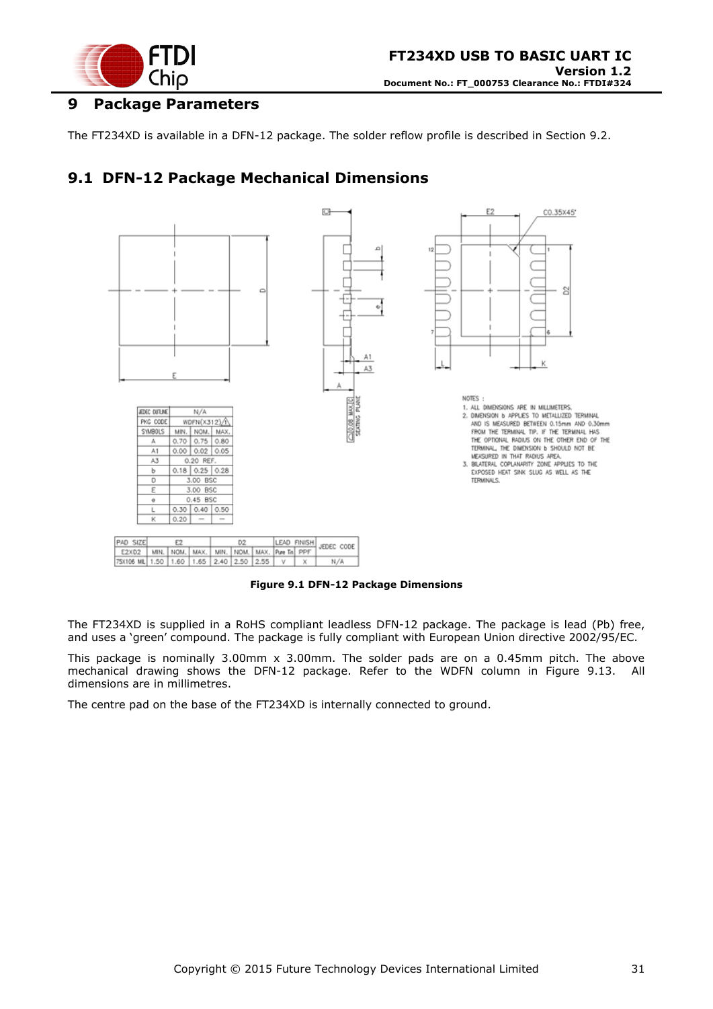

# <span id="page-30-0"></span>**9 Package Parameters**

The FT234XD is available in a DFN-12 package. The solder reflow profile is described in Section [9.2.](#page-30-2)

# <span id="page-30-1"></span>**9.1 DFN-12 Package Mechanical Dimensions**



**Figure 9.1 DFN-12 Package Dimensions**

<span id="page-30-3"></span>The FT234XD is supplied in a RoHS compliant leadless DFN-12 package. The package is lead (Pb) free, and uses a 'green' compound. The package is fully compliant with European Union directive 2002/95/EC.

This package is nominally 3.00mm x 3.00mm. The solder pads are on a 0.45mm pitch. The above mechanical drawing shows the DFN-12 package. Refer to the WDFN column in [Figure 9.13.](#page-30-3) All dimensions are in millimetres.

<span id="page-30-2"></span>The centre pad on the base of the FT234XD is internally connected to ground.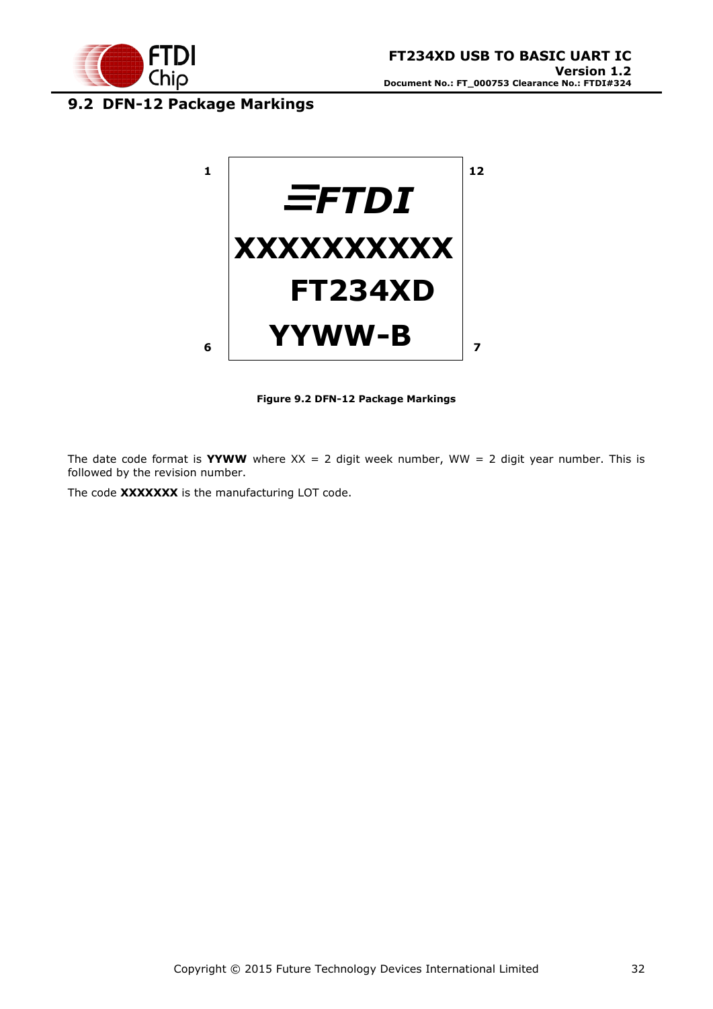

# <span id="page-31-0"></span>**9.2 DFN-12 Package Markings**



**Figure 9.2 DFN-12 Package Markings**

<span id="page-31-1"></span>The date code format is **YYWW** where  $XX = 2$  digit week number, WW = 2 digit year number. This is followed by the revision number.

The code **XXXXXXX** is the manufacturing LOT code.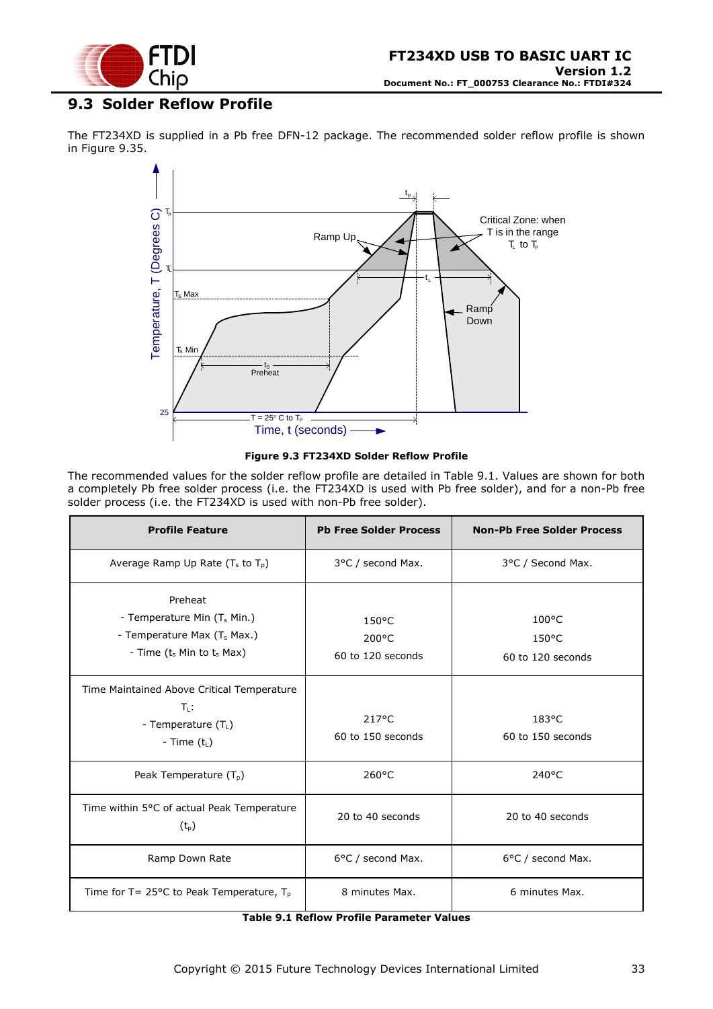

# <span id="page-32-0"></span>**9.3 Solder Reflow Profile**

The FT234XD is supplied in a Pb free DFN-12 package. The recommended solder reflow profile is shown in [Figure 9.35.](#page-32-1)



#### **Figure 9.3 FT234XD Solder Reflow Profile**

<span id="page-32-1"></span>The recommended values for the solder reflow profile are detailed in [Table 9.1.](#page-32-2) Values are shown for both a completely Pb free solder process (i.e. the FT234XD is used with Pb free solder), and for a non-Pb free solder process (i.e. the FT234XD is used with non-Pb free solder).

| <b>Profile Feature</b>                                                                                                     | <b>Pb Free Solder Process</b>                           | <b>Non-Pb Free Solder Process</b>                       |
|----------------------------------------------------------------------------------------------------------------------------|---------------------------------------------------------|---------------------------------------------------------|
| Average Ramp Up Rate $(T_s$ to $T_p$ )                                                                                     | 3°C / second Max.                                       | 3°C / Second Max.                                       |
| Preheat<br>- Temperature Min (T <sub>s</sub> Min.)<br>- Temperature Max (T <sub>s</sub> Max.)<br>- Time (t. Min to t. Max) | $150^{\circ}$ C<br>$200^{\circ}$ C<br>60 to 120 seconds | $100^{\circ}$ C<br>$150^{\circ}$ C<br>60 to 120 seconds |
| Time Maintained Above Critical Temperature<br>$T_1$ :<br>- Temperature $(T_L)$<br>- Time $(t_L)$                           | $217^{\circ}$ C<br>60 to 150 seconds                    | 183°C<br>60 to 150 seconds                              |
| Peak Temperature $(T_{p})$                                                                                                 | $260^{\circ}$ C                                         | $240^{\circ}$ C                                         |
| Time within 5°C of actual Peak Temperature<br>$(t_{p})$                                                                    | 20 to 40 seconds                                        | 20 to 40 seconds                                        |
| Ramp Down Rate                                                                                                             | 6°C / second Max.                                       | 6°C / second Max.                                       |
| Time for T= 25 $\degree$ C to Peak Temperature, T <sub>p</sub>                                                             | 8 minutes Max.                                          | 6 minutes Max.                                          |

<span id="page-32-2"></span>**Table 9.1 Reflow Profile Parameter Values**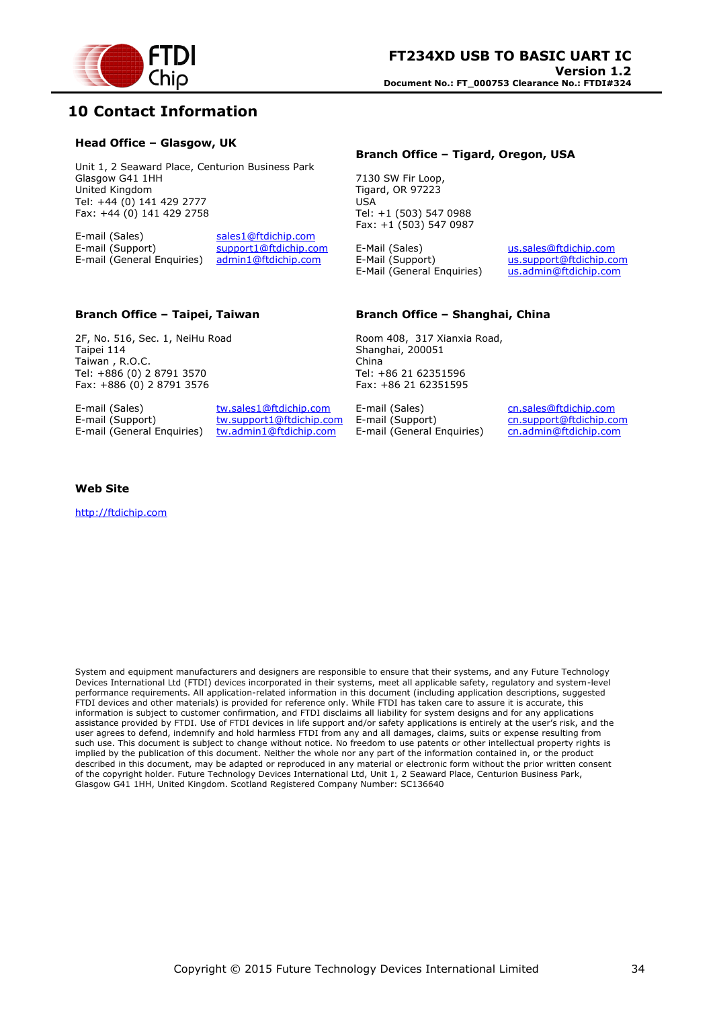

# <span id="page-33-0"></span>**10 Contact Information**

#### **Head Office – Glasgow, UK**

Unit 1, 2 Seaward Place, Centurion Business Park Glasgow G41 1HH United Kingdom Tel: +44 (0) 141 429 2777 Fax: +44 (0) 141 429 2758

E-mail (Sales) sales1@ftdichip.com E-mail (Support) support1@ftdichip.com<br>E-mail (General Enquiries) admin1@ftdichip.com E-mail (General Enquiries)

#### **Branch Office – Tigard, Oregon, USA**

7130 SW Fir Loop, Tigard, OR 97223 USA Tel: +1 (503) 547 0988 Fax: +1 (503) 547 0987

E-Mail (Sales) us.sales@ftdichip.com<br>E-Mail (Support) us.support@ftdichip.com E-Mail (General Enquiries) us.admin@ftdichip.com

us.support@ftdichip.com

#### **Branch Office – Taipei, Taiwan**

2F, No. 516, Sec. 1, NeiHu Road Taipei 114 Taiwan , R.O.C. Tel: +886 (0) 2 8791 3570 Fax: +886 (0) 2 8791 3576

E-mail (General Enquiries)

E-mail (Sales) tw.sales1@ftdichip.com E-mail (Support) tw.support1@ftdichip.com<br>E-mail (General Enquiries) tw.admin1@ftdichip.com

#### **Branch Office – Shanghai, China**

Room 408, 317 Xianxia Road, Shanghai, 200051 China Tel: +86 21 62351596 Fax: +86 21 62351595

E-mail (Sales) cn.sales@ftdichip.com E-mail (Support) cn.support@ftdichip.com<br>E-mail (General Enquiries) cn.admin@ftdichip.com E-mail (General Enquiries)

#### **Web Site**

http://ftdichip.com

System and equipment manufacturers and designers are responsible to ensure that their systems, and any Future Technology Devices International Ltd (FTDI) devices incorporated in their systems, meet all applicable safety, regulatory and system-level performance requirements. All application-related information in this document (including application descriptions, suggested FTDI devices and other materials) is provided for reference only. While FTDI has taken care to assure it is accurate, this information is subject to customer confirmation, and FTDI disclaims all liability for system designs and for any applications assistance provided by FTDI. Use of FTDI devices in life support and/or safety applications is entirely at the user's risk, and the user agrees to defend, indemnify and hold harmless FTDI from any and all damages, claims, suits or expense resulting from such use. This document is subject to change without notice. No freedom to use patents or other intellectual property rights is implied by the publication of this document. Neither the whole nor any part of the information contained in, or the product described in this document, may be adapted or reproduced in any material or electronic form without the prior written consent of the copyright holder. Future Technology Devices International Ltd, Unit 1, 2 Seaward Place, Centurion Business Park, Glasgow G41 1HH, United Kingdom. Scotland Registered Company Number: SC136640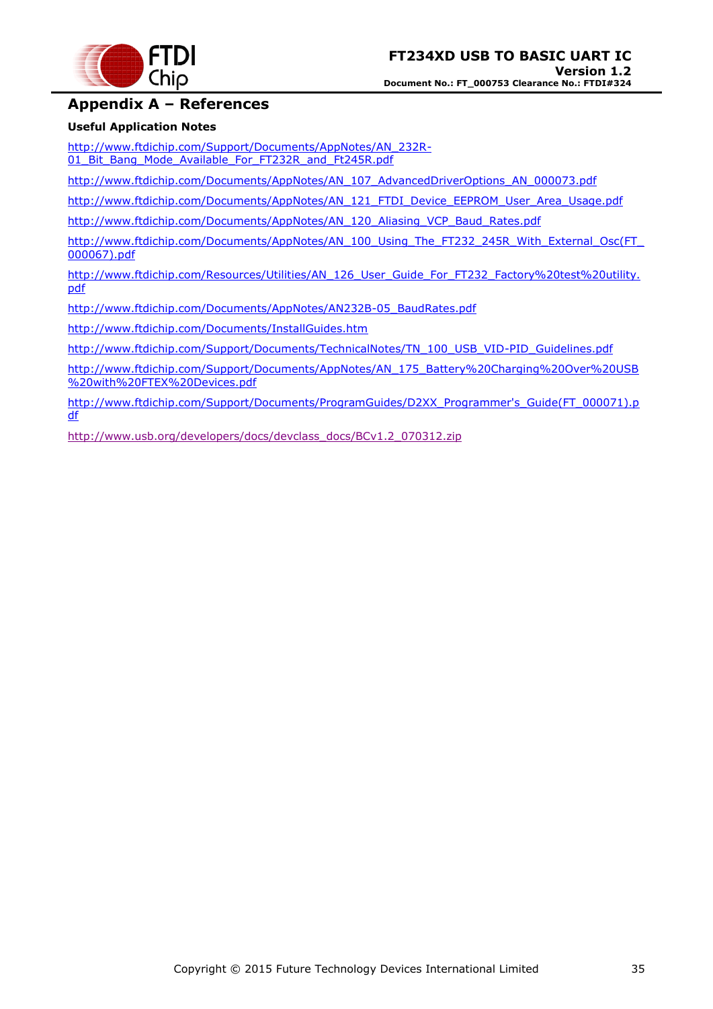

# <span id="page-34-0"></span>**Appendix A – References**

#### **Useful Application Notes**

[http://www.ftdichip.com/Support/Documents/AppNotes/AN\\_232R-](http://www.ftdichip.com/Support/Documents/AppNotes/AN_232R-01_Bit_Bang_Mode_Available_For_FT232R_and_Ft245R.pdf)[01\\_Bit\\_Bang\\_Mode\\_Available\\_For\\_FT232R\\_and\\_Ft245R.pdf](http://www.ftdichip.com/Support/Documents/AppNotes/AN_232R-01_Bit_Bang_Mode_Available_For_FT232R_and_Ft245R.pdf)

[http://www.ftdichip.com/Documents/AppNotes/AN\\_107\\_AdvancedDriverOptions\\_AN\\_000073.pdf](http://www.ftdichip.com/Documents/AppNotes/AN_107_AdvancedDriverOptions_AN_000073.pdf)

[http://www.ftdichip.com/Documents/AppNotes/AN\\_121\\_FTDI\\_Device\\_EEPROM\\_User\\_Area\\_Usage.pdf](http://www.ftdichip.com/Documents/AppNotes/AN_121_FTDI_Device_EEPROM_User_Area_Usage.pdf)

[http://www.ftdichip.com/Documents/AppNotes/AN\\_120\\_Aliasing\\_VCP\\_Baud\\_Rates.pdf](http://www.ftdichip.com/Documents/AppNotes/AN_120_Aliasing_VCP_Baud_Rates.pdf)

[http://www.ftdichip.com/Documents/AppNotes/AN\\_100\\_Using\\_The\\_FT232\\_245R\\_With\\_External\\_Osc\(FT\\_](http://www.ftdichip.com/Documents/AppNotes/AN_100_Using_The_FT232_245R_With_External_Osc(FT_000067).pdf) [000067\).pdf](http://www.ftdichip.com/Documents/AppNotes/AN_100_Using_The_FT232_245R_With_External_Osc(FT_000067).pdf)

[http://www.ftdichip.com/Resources/Utilities/AN\\_126\\_User\\_Guide\\_For\\_FT232\\_Factory%20test%20utility.](http://www.ftdichip.com/Resources/Utilities/AN_126_User_Guide_For_FT232_Factory%20test%20utility.pdf) [pdf](http://www.ftdichip.com/Resources/Utilities/AN_126_User_Guide_For_FT232_Factory%20test%20utility.pdf)

[http://www.ftdichip.com/Documents/AppNotes/AN232B-05\\_BaudRates.pdf](http://www.ftdichip.com/Documents/AppNotes/AN232B-05_BaudRates.pdf)

<http://www.ftdichip.com/Documents/InstallGuides.htm>

[http://www.ftdichip.com/Support/Documents/TechnicalNotes/TN\\_100\\_USB\\_VID-PID\\_Guidelines.pdf](http://www.ftdichip.com/Support/Documents/TechnicalNotes/TN_100_USB_VID-PID_Guidelines.pdf)

[http://www.ftdichip.com/Support/Documents/AppNotes/AN\\_175\\_Battery%20Charging%20Over%20USB](http://www.ftdichip.com/Support/Documents/AppNotes/AN_175_Battery%20Charging%20Over%20USB%20with%20FTEX%20Devices.pdf) [%20with%20FTEX%20Devices.pdf](http://www.ftdichip.com/Support/Documents/AppNotes/AN_175_Battery%20Charging%20Over%20USB%20with%20FTEX%20Devices.pdf)

[http://www.ftdichip.com/Support/Documents/ProgramGuides/D2XX\\_Programmer's\\_Guide\(FT\\_000071\).p](http://www.ftdichip.com/Support/Documents/ProgramGuides/D2XX_Programmer) [df](http://www.ftdichip.com/Support/Documents/ProgramGuides/D2XX_Programmer)

[http://www.usb.org/developers/docs/devclass\\_docs/BCv1.2\\_070312.zip](http://www.usb.org/developers/docs/devclass_docs/BCv1.2_070312.zip)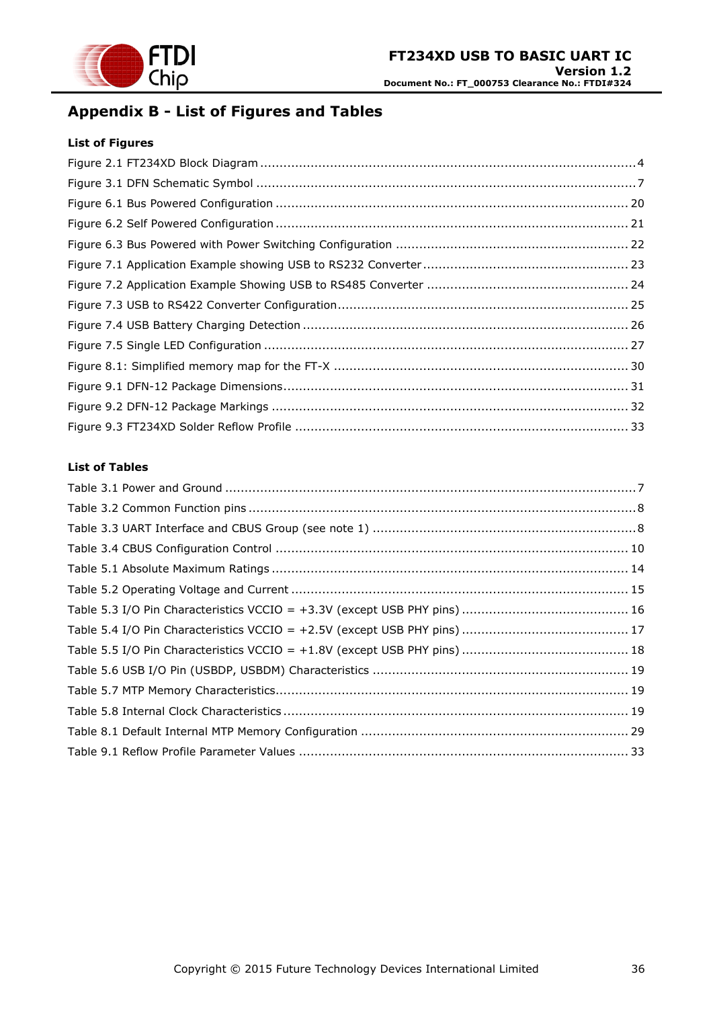

# <span id="page-35-0"></span>**Appendix B - List of Figures and Tables**

#### **List of Figures**

#### **List of Tables**